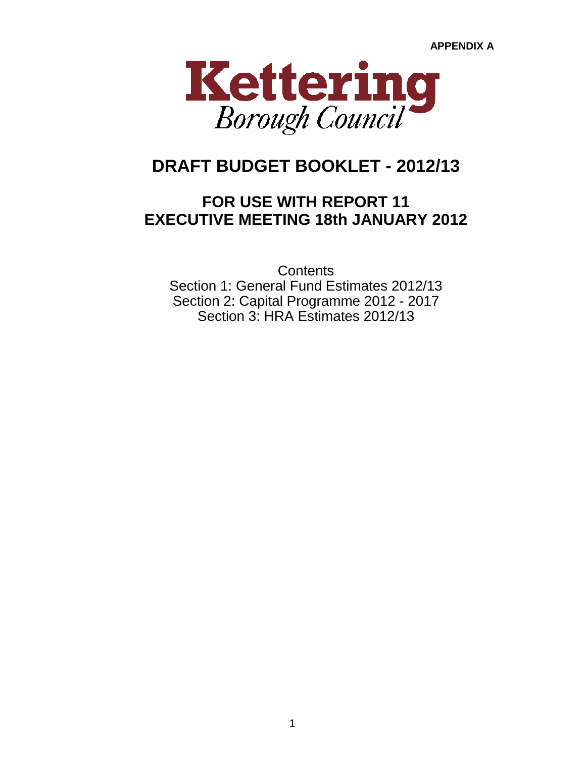

# **DRAFT BUDGET BOOKLET - 2012/13**

## **FOR USE WITH REPORT 11 EXECUTIVE MEETING 18th JANUARY 2012**

**Contents** Section 2: Capital Programme 2012 - 2017 Section 1: General Fund Estimates 2012/13 Section 3: HRA Estimates 2012/13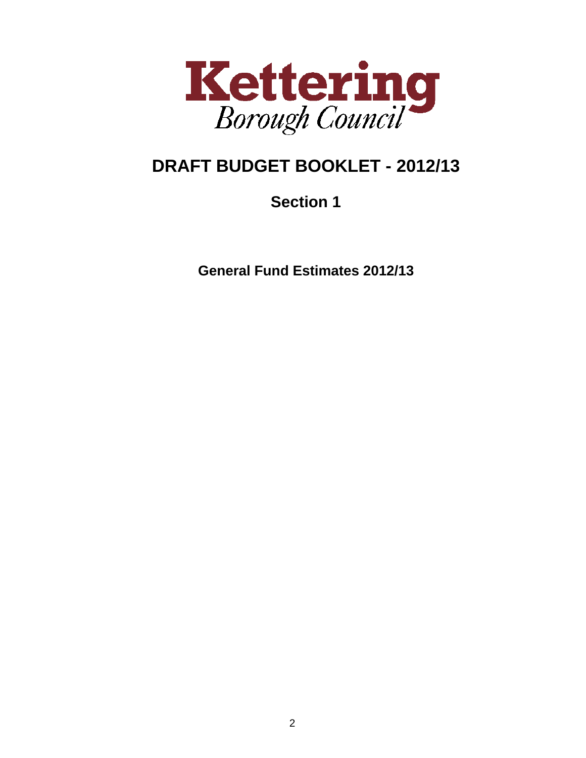

# **DRAFT BUDGET BOOKLET - 2012/13**

# **Section 1**

**General Fund Estimates 2012/13**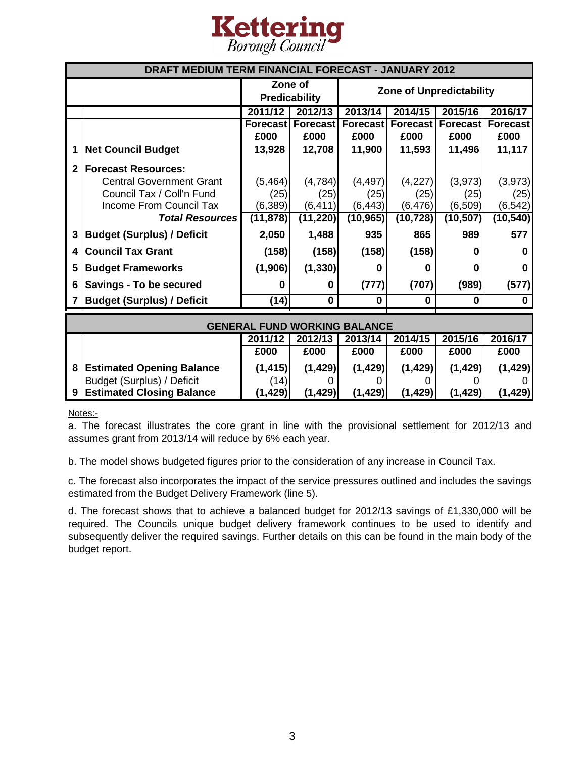

| DRAFT MEDIUM TERM FINANCIAL FORECAST - JANUARY 2012 |                                   |                                     |                                 |           |                          |                 |           |
|-----------------------------------------------------|-----------------------------------|-------------------------------------|---------------------------------|-----------|--------------------------|-----------------|-----------|
|                                                     |                                   |                                     | Zone of<br><b>Predicability</b> |           | Zone of Unpredictability |                 |           |
|                                                     |                                   | 2011/12                             | 2012/13                         | 2013/14   | 2014/15                  | 2015/16         | 2016/17   |
|                                                     |                                   |                                     | <b>Forecast   Forecast</b>      | Forecast  | <b>Forecast</b>          | <b>Forecast</b> | Forecast  |
|                                                     |                                   | £000                                | £000                            | £000      | £000                     | £000            | £000      |
| 1                                                   | <b>Net Council Budget</b>         | 13,928                              | 12,708                          | 11,900    | 11,593                   | 11,496          | 11,117    |
| 2                                                   | <b>Forecast Resources:</b>        |                                     |                                 |           |                          |                 |           |
|                                                     | <b>Central Government Grant</b>   | (5, 464)                            | (4,784)                         | (4, 497)  | (4,227)                  | (3,973)         | (3,973)   |
|                                                     | Council Tax / Coll'n Fund         | (25)                                | (25)                            | (25)      | (25)                     | (25)            | (25)      |
|                                                     | Income From Council Tax           | (6, 389)                            | (6, 411)                        | (6, 443)  | (6, 476)                 | (6, 509)        | (6, 542)  |
|                                                     | <b>Total Resources</b>            | (11, 878)                           | (11, 220)                       | (10, 965) | (10, 728)                | (10, 507)       | (10, 540) |
| 3                                                   | <b>Budget (Surplus) / Deficit</b> | 2,050                               | 1,488                           | 935       | 865                      | 989             | 577       |
| 4                                                   | <b>Council Tax Grant</b>          | (158)                               | (158)                           | (158)     | (158)                    | ŋ               | 0         |
| 5                                                   | <b>Budget Frameworks</b>          | (1,906)                             | (1, 330)                        | 0         | O                        | ŋ               | 0         |
| 6                                                   | Savings - To be secured           | 0                                   | 0                               | (777)     | (707)                    | (989)           | (577)     |
|                                                     | <b>Budget (Surplus) / Deficit</b> | (14)                                | $\bf{0}$                        | 0         | O                        | 0               | 0         |
|                                                     |                                   |                                     |                                 |           |                          |                 |           |
|                                                     |                                   | <b>GENERAL FUND WORKING BALANCE</b> |                                 |           |                          |                 |           |
|                                                     |                                   | 2011/12                             | 2012/13                         | 2013/14   | 2014/15                  | 2015/16         | 2016/17   |
|                                                     |                                   | £000                                | £000                            | £000      | £000                     | £000            | £000      |
| 8                                                   | <b>Estimated Opening Balance</b>  | (1, 415)                            | (1, 429)                        | (1, 429)  | (1, 429)                 | (1, 429)        | (1, 429)  |

Notes:-

a. The forecast illustrates the core grant in line with the provisional settlement for 2012/13 and assumes grant from 2013/14 will reduce by 6% each year.

Budget (Surplus) / Deficit  $(14)$  0 0 0 0 0 0 0 0 **9 Estimated Closing Balance (1,429) (1,429) (1,429) (1,429) (1,429) (1,429)**

b. The model shows budgeted figures prior to the consideration of any increase in Council Tax.

c. The forecast also incorporates the impact of the service pressures outlined and includes the savings estimated from the Budget Delivery Framework (line 5).

d. The forecast shows that to achieve a balanced budget for 2012/13 savings of £1,330,000 will be required. The Councils unique budget delivery framework continues to be used to identify and subsequently deliver the required savings. Further details on this can be found in the main body of the budget report.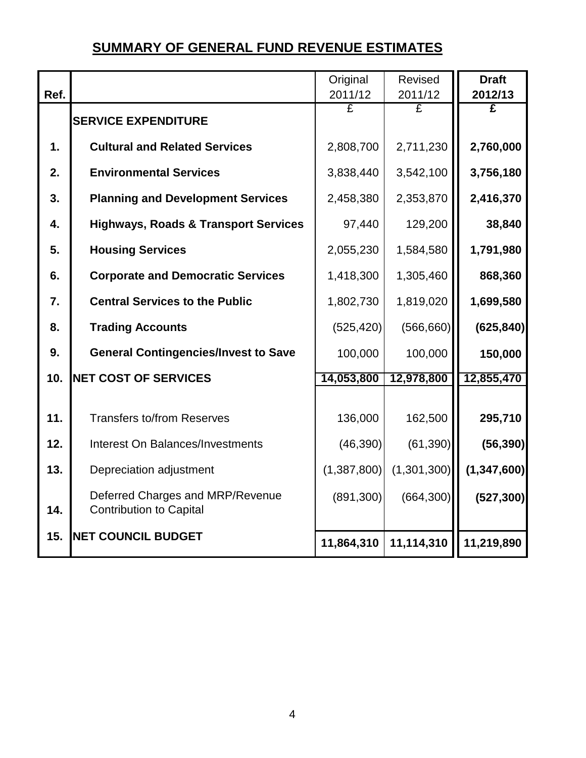## **SUMMARY OF GENERAL FUND REVENUE ESTIMATES**

| Ref.             |                                                                    | Original<br>2011/12 | Revised<br>2011/12 | <b>Draft</b><br>2012/13 |
|------------------|--------------------------------------------------------------------|---------------------|--------------------|-------------------------|
|                  | <b>SERVICE EXPENDITURE</b>                                         | £                   | £                  | £                       |
| 1.               | <b>Cultural and Related Services</b>                               | 2,808,700           | 2,711,230          | 2,760,000               |
| 2.               | <b>Environmental Services</b>                                      | 3,838,440           | 3,542,100          | 3,756,180               |
| 3.               | <b>Planning and Development Services</b>                           | 2,458,380           | 2,353,870          | 2,416,370               |
| $\mathbf{4}$ .   | <b>Highways, Roads &amp; Transport Services</b>                    | 97,440              | 129,200            | 38,840                  |
| 5.               | <b>Housing Services</b>                                            | 2,055,230           | 1,584,580          | 1,791,980               |
| 6.               | <b>Corporate and Democratic Services</b>                           | 1,418,300           | 1,305,460          | 868,360                 |
| $\overline{7}$ . | <b>Central Services to the Public</b>                              | 1,802,730           | 1,819,020          | 1,699,580               |
| 8.               | <b>Trading Accounts</b>                                            | (525, 420)          | (566, 660)         | (625, 840)              |
| 9.               | <b>General Contingencies/Invest to Save</b>                        | 100,000             | 100,000            | 150,000                 |
| 10.              | <b>NET COST OF SERVICES</b>                                        | 14,053,800          | 12,978,800         | 12,855,470              |
| 11.              | <b>Transfers to/from Reserves</b>                                  | 136,000             | 162,500            | 295,710                 |
| 12.              | <b>Interest On Balances/Investments</b>                            | (46, 390)           | (61, 390)          | (56, 390)               |
| 13.              | Depreciation adjustment                                            | (1,387,800)         | (1,301,300)        | (1, 347, 600)           |
| 14.              | Deferred Charges and MRP/Revenue<br><b>Contribution to Capital</b> | (891, 300)          | (664, 300)         | (527, 300)              |
| 15.              | <b>NET COUNCIL BUDGET</b>                                          | 11,864,310          | 11,114,310         | 11,219,890              |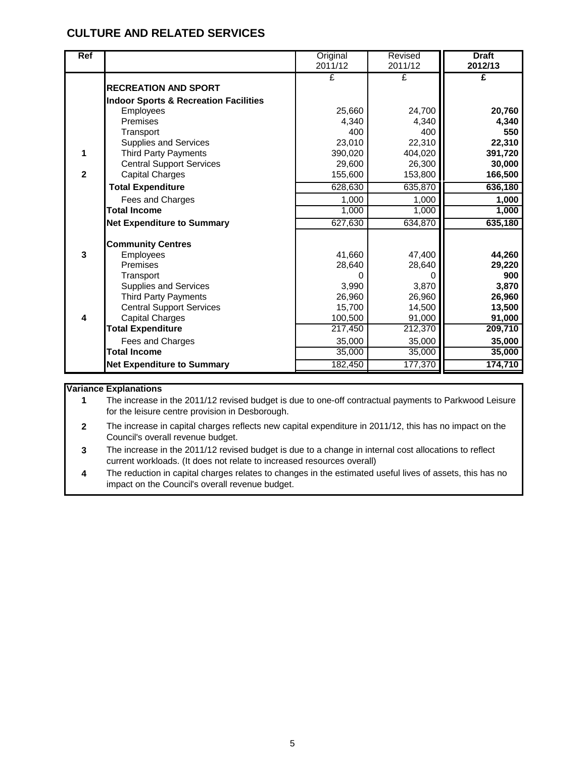| <b>Ref</b>   |                                                    | Original<br>2011/12 | Revised<br>2011/12 | <b>Draft</b><br>2012/13 |
|--------------|----------------------------------------------------|---------------------|--------------------|-------------------------|
|              |                                                    | £                   | £                  | £                       |
|              | <b>RECREATION AND SPORT</b>                        |                     |                    |                         |
|              | <b>Indoor Sports &amp; Recreation Facilities</b>   |                     |                    |                         |
|              | Employees                                          | 25,660              | 24,700             | 20,760                  |
|              | Premises                                           | 4,340               | 4,340              | 4,340                   |
|              | Transport                                          | 400                 | 400                | 550                     |
|              | Supplies and Services                              | 23,010              | 22,310             | 22,310                  |
|              | <b>Third Party Payments</b>                        | 390,020             | 404,020            | 391,720                 |
|              | <b>Central Support Services</b>                    | 29,600              | 26,300             | 30,000                  |
| $\mathbf{2}$ | <b>Capital Charges</b>                             | 155,600             | 153,800            | 166,500                 |
|              | <b>Total Expenditure</b>                           | 628,630             | 635,870            | 636,180                 |
|              | Fees and Charges                                   | 1,000               | 1,000              | 1,000                   |
|              | <b>Total Income</b>                                | 1,000               | 1,000              | 1,000                   |
|              | <b>Net Expenditure to Summary</b>                  | 627,630             | 634,870            | 635,180                 |
|              |                                                    |                     |                    |                         |
|              | <b>Community Centres</b>                           |                     |                    |                         |
| 3            | Employees                                          | 41,660              | 47,400             | 44,260                  |
|              | Premises                                           | 28,640              | 28,640             | 29,220                  |
|              | Transport                                          | O                   |                    | 900                     |
|              | <b>Supplies and Services</b>                       | 3,990               | 3,870              | 3,870                   |
|              | <b>Third Party Payments</b>                        | 26,960              | 26,960             | 26,960                  |
| 4            | <b>Central Support Services</b>                    | 15,700              | 14,500             | 13,500                  |
|              | <b>Capital Charges</b><br><b>Total Expenditure</b> | 100,500<br>217,450  | 91,000<br>212,370  | 91,000<br>209,710       |
|              |                                                    |                     |                    |                         |
|              | Fees and Charges<br><b>Total Income</b>            | 35,000              | 35,000             | 35,000                  |
|              |                                                    | 35,000              | 35,000             | 35,000                  |
|              | <b>Net Expenditure to Summary</b>                  | 182,450             | 177,370            | 174,710                 |

#### **Variance Explanations**

**1** The increase in the 2011/12 revised budget is due to one-off contractual payments to Parkwood Leisure for the leisure centre provision in Desborough.

- **2** The increase in capital charges reflects new capital expenditure in 2011/12, this has no impact on the Council's overall revenue budget.
- **3** The increase in the 2011/12 revised budget is due to a change in internal cost allocations to reflect current workloads. (It does not relate to increased resources overall)
- **4** The reduction in capital charges relates to changes in the estimated useful lives of assets, this has no impact on the Council's overall revenue budget.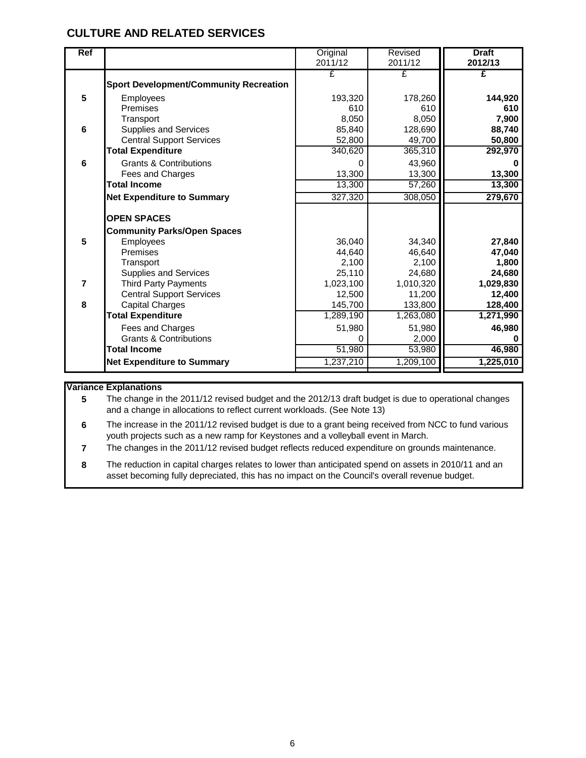| <b>Ref</b>     |                                               | Original  | Revised   | <b>Draft</b> |
|----------------|-----------------------------------------------|-----------|-----------|--------------|
|                |                                               | 2011/12   | 2011/12   | 2012/13      |
|                |                                               | £         | £         | £            |
|                | <b>Sport Development/Community Recreation</b> |           |           |              |
| 5              | Employees                                     | 193,320   | 178,260   | 144,920      |
|                | Premises                                      | 610       | 610       | 610          |
|                | Transport                                     | 8,050     | 8,050     | 7,900        |
| 6              | <b>Supplies and Services</b>                  | 85,840    | 128,690   | 88,740       |
|                | <b>Central Support Services</b>               | 52,800    | 49,700    | 50,800       |
|                | <b>Total Expenditure</b>                      | 340,620   | 365,310   | 292,970      |
| $6\phantom{1}$ | <b>Grants &amp; Contributions</b>             | 0         | 43,960    |              |
|                | Fees and Charges                              | 13,300    | 13,300    | 13,300       |
|                | <b>Total Income</b>                           | 13,300    | 57,260    | 13,300       |
|                | <b>Net Expenditure to Summary</b>             | 327,320   | 308,050   | 279,670      |
|                | <b>OPEN SPACES</b>                            |           |           |              |
|                | <b>Community Parks/Open Spaces</b>            |           |           |              |
| 5              | Employees                                     | 36.040    | 34,340    | 27,840       |
|                | Premises                                      | 44,640    | 46,640    | 47,040       |
|                | Transport                                     | 2,100     | 2,100     | 1,800        |
|                | <b>Supplies and Services</b>                  | 25,110    | 24,680    | 24,680       |
| $\overline{7}$ | <b>Third Party Payments</b>                   | 1,023,100 | 1,010,320 | 1,029,830    |
|                | <b>Central Support Services</b>               | 12,500    | 11,200    | 12,400       |
| 8              | <b>Capital Charges</b>                        | 145,700   | 133,800   | 128,400      |
|                | <b>Total Expenditure</b>                      | 1,289,190 | 1,263,080 | 1,271,990    |
|                | Fees and Charges                              | 51,980    | 51,980    | 46,980       |
|                | <b>Grants &amp; Contributions</b>             | 0         | 2,000     |              |
|                | <b>Total Income</b>                           | 51,980    | 53,980    | 46,980       |
|                | <b>Net Expenditure to Summary</b>             | 1,237,210 | 1,209,100 | 1,225,010    |
|                |                                               |           |           |              |

#### **Variance Explanations**

**5** The change in the 2011/12 revised budget and the 2012/13 draft budget is due to operational changes and a change in allocations to reflect current workloads. (See Note 13)

**6** The increase in the 2011/12 revised budget is due to a grant being received from NCC to fund various youth projects such as a new ramp for Keystones and a volleyball event in March.

**7** The changes in the 2011/12 revised budget reflects reduced expenditure on grounds maintenance.

**8** The reduction in capital charges relates to lower than anticipated spend on assets in 2010/11 and an asset becoming fully depreciated, this has no impact on the Council's overall revenue budget.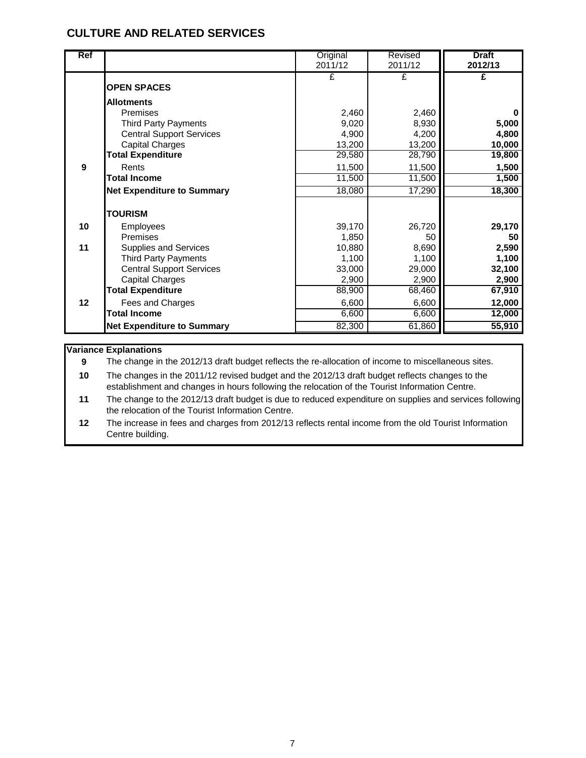| Ref            |                                                    | Original<br>2011/12 | Revised<br>2011/12 | <b>Draft</b><br>2012/13 |
|----------------|----------------------------------------------------|---------------------|--------------------|-------------------------|
|                | <b>OPEN SPACES</b>                                 | £                   | £                  | £                       |
|                | <b>Allotments</b>                                  |                     |                    |                         |
|                | Premises                                           | 2,460               | 2,460              |                         |
|                | <b>Third Party Payments</b>                        | 9,020               | 8,930              | 5,000                   |
|                | <b>Central Support Services</b>                    | 4,900               | 4,200              | 4,800                   |
|                | <b>Capital Charges</b>                             | 13,200              | 13,200             | 10,000                  |
|                | <b>Total Expenditure</b>                           | 29,580              | 28,790             | 19,800                  |
| $\overline{9}$ | Rents                                              | 11,500              | 11,500             | 1,500                   |
|                | <b>Total Income</b>                                | 11,500              | 11,500             | 1,500                   |
|                | <b>Net Expenditure to Summary</b>                  | 18,080              | 17,290             | 18,300                  |
|                | <b>TOURISM</b>                                     |                     |                    |                         |
| 10             | <b>Employees</b>                                   | 39,170              | 26,720             | 29,170                  |
|                | Premises                                           | 1,850               | 50                 | 50                      |
| 11             | <b>Supplies and Services</b>                       | 10,880              | 8,690              | 2,590                   |
|                | <b>Third Party Payments</b>                        | 1,100               | 1,100              | 1,100                   |
|                | <b>Central Support Services</b>                    | 33,000              | 29,000             | 32,100                  |
|                | <b>Capital Charges</b><br><b>Total Expenditure</b> | 2,900<br>88,900     | 2,900<br>68,460    | 2,900<br>67,910         |
| 12             |                                                    |                     | 6,600              | 12,000                  |
|                | Fees and Charges<br><b>Total Income</b>            | 6,600<br>6,600      | 6,600              | 12,000                  |
|                | <b>Net Expenditure to Summary</b>                  | 82,300              | 61,860             | 55,910                  |

#### **Variance Explanations**

**9** The change in the 2012/13 draft budget reflects the re-allocation of income to miscellaneous sites.

**10** The changes in the 2011/12 revised budget and the 2012/13 draft budget reflects changes to the establishment and changes in hours following the relocation of the Tourist Information Centre.

**11** The change to the 2012/13 draft budget is due to reduced expenditure on supplies and services following the relocation of the Tourist Information Centre.

**12** The increase in fees and charges from 2012/13 reflects rental income from the old Tourist Information Centre building.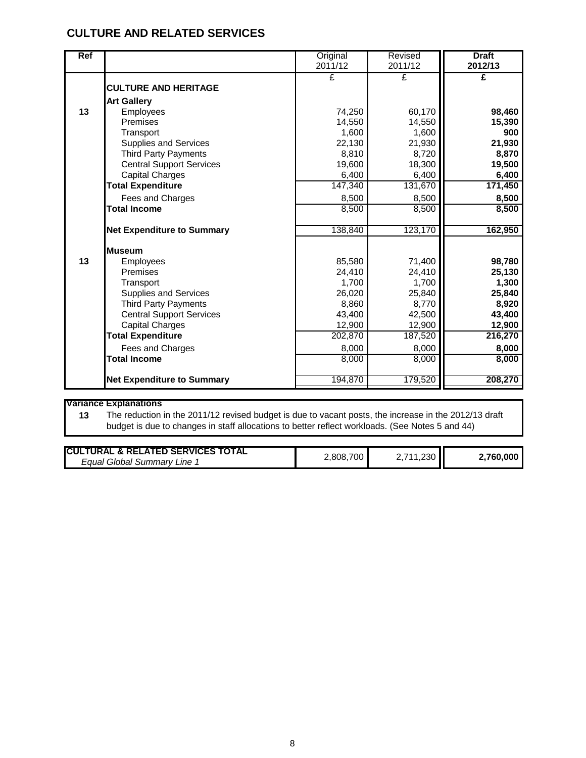| Ref |                                   | Original | Revised | <b>Draft</b> |
|-----|-----------------------------------|----------|---------|--------------|
|     |                                   | 2011/12  | 2011/12 | 2012/13      |
|     |                                   | £        | £       | £            |
|     | <b>CULTURE AND HERITAGE</b>       |          |         |              |
|     | <b>Art Gallery</b>                |          |         |              |
| 13  | Employees                         | 74,250   | 60,170  | 98,460       |
|     | Premises                          | 14,550   | 14,550  | 15,390       |
|     | Transport                         | 1,600    | 1,600   | 900          |
|     | <b>Supplies and Services</b>      | 22,130   | 21,930  | 21,930       |
|     | <b>Third Party Payments</b>       | 8,810    | 8,720   | 8,870        |
|     | <b>Central Support Services</b>   | 19,600   | 18,300  | 19,500       |
|     | <b>Capital Charges</b>            | 6,400    | 6,400   | 6,400        |
|     | <b>Total Expenditure</b>          | 147,340  | 131,670 | 171,450      |
|     | Fees and Charges                  | 8,500    | 8,500   | 8,500        |
|     | <b>Total Income</b>               | 8,500    | 8,500   | 8,500        |
|     |                                   |          |         |              |
|     | <b>Net Expenditure to Summary</b> | 138,840  | 123,170 | 162,950      |
|     |                                   |          |         |              |
|     | <b>Museum</b>                     |          |         |              |
| 13  | Employees                         | 85,580   | 71,400  | 98,780       |
|     | Premises                          | 24,410   | 24,410  | 25,130       |
|     | Transport                         | 1,700    | 1,700   | 1,300        |
|     | <b>Supplies and Services</b>      | 26,020   | 25,840  | 25,840       |
|     | <b>Third Party Payments</b>       | 8,860    | 8,770   | 8,920        |
|     | <b>Central Support Services</b>   | 43,400   | 42,500  | 43,400       |
|     | <b>Capital Charges</b>            | 12,900   | 12,900  | 12,900       |
|     | <b>Total Expenditure</b>          | 202,870  | 187,520 | 216,270      |
|     | Fees and Charges                  | 8,000    | 8,000   | 8,000        |
|     | <b>Total Income</b>               | 8,000    | 8,000   | 8,000        |
|     |                                   |          |         |              |
|     | <b>Net Expenditure to Summary</b> | 194,870  | 179,520 | 208,270      |
|     |                                   |          |         |              |

#### **Variance Explanations**

**13** The reduction in the 2011/12 revised budget is due to vacant posts, the increase in the 2012/13 draft budget is due to changes in staff allocations to better reflect workloads. (See Notes 5 and 44)

| <b>ICULTURAL &amp; RELATED SERVICES TOTAL</b> | 700.   |          |
|-----------------------------------------------|--------|----------|
| ، Equal Global Summarv<br>_ine-               | .808.7 | ,760,000 |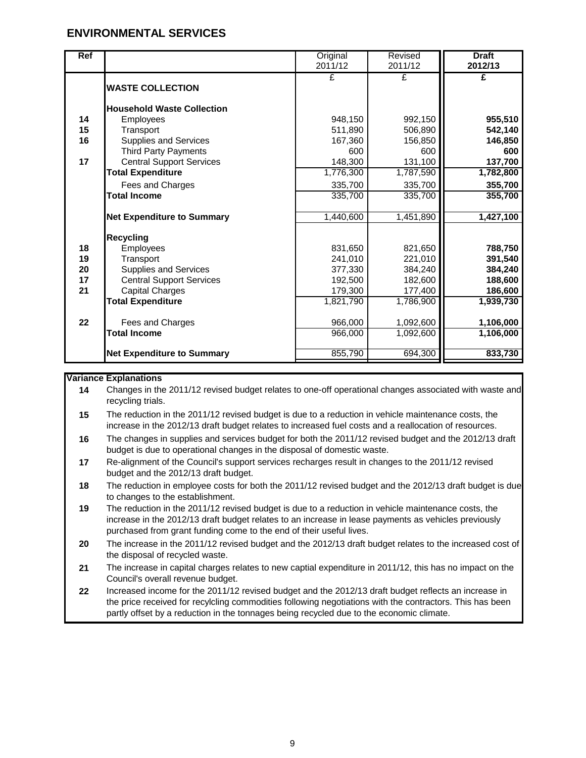| <b>Ref</b> |                                   | Original<br>2011/12 | Revised<br>2011/12 | <b>Draft</b><br>2012/13 |
|------------|-----------------------------------|---------------------|--------------------|-------------------------|
|            | <b>WASTE COLLECTION</b>           | £                   | £                  | £                       |
|            | <b>Household Waste Collection</b> |                     |                    |                         |
| 14         | Employees                         | 948,150             | 992,150            | 955,510                 |
| 15         | Transport                         | 511,890             | 506,890            | 542,140                 |
| 16         | <b>Supplies and Services</b>      | 167,360             | 156,850            | 146,850                 |
|            | <b>Third Party Payments</b>       | 600                 | 600                | 600                     |
| 17         | <b>Central Support Services</b>   | 148,300             | 131,100            | 137,700                 |
|            | <b>Total Expenditure</b>          | 1,776,300           | 1,787,590          | 1,782,800               |
|            | Fees and Charges                  | 335,700             | 335,700            | 355,700                 |
|            | <b>Total Income</b>               | 335,700             | 335,700            | 355,700                 |
|            | <b>Net Expenditure to Summary</b> | 1,440,600           | 1,451,890          | 1,427,100               |
|            | <b>Recycling</b>                  |                     |                    |                         |
| 18         | Employees                         | 831,650             | 821,650            | 788,750                 |
| 19         | Transport                         | 241,010             | 221,010            | 391,540                 |
| 20         | <b>Supplies and Services</b>      | 377,330             | 384,240            | 384,240                 |
| 17         | <b>Central Support Services</b>   | 192,500             | 182,600            | 188,600                 |
| 21         | <b>Capital Charges</b>            | 179,300             | 177,400            | 186,600                 |
|            | <b>Total Expenditure</b>          | 1,821,790           | 1,786,900          | 1,939,730               |
| 22         | Fees and Charges                  | 966,000             | 1,092,600          | 1,106,000               |
|            | <b>Total Income</b>               | 966,000             | 1,092,600          | 1,106,000               |
|            | <b>Net Expenditure to Summary</b> | 855,790             | 694,300            | 833,730                 |

#### **Variance Explanations**

- **14** Changes in the 2011/12 revised budget relates to one-off operational changes associated with waste and recycling trials.
- **15** The reduction in the 2011/12 revised budget is due to a reduction in vehicle maintenance costs, the increase in the 2012/13 draft budget relates to increased fuel costs and a reallocation of resources.
- **16** The changes in supplies and services budget for both the 2011/12 revised budget and the 2012/13 draft budget is due to operational changes in the disposal of domestic waste.
- **17** Re-alignment of the Council's support services recharges result in changes to the 2011/12 revised budget and the 2012/13 draft budget.
- **18** The reduction in employee costs for both the 2011/12 revised budget and the 2012/13 draft budget is due to changes to the establishment.
- **19** The reduction in the 2011/12 revised budget is due to a reduction in vehicle maintenance costs, the increase in the 2012/13 draft budget relates to an increase in lease payments as vehicles previously purchased from grant funding come to the end of their useful lives.
- **20** The increase in the 2011/12 revised budget and the 2012/13 draft budget relates to the increased cost of the disposal of recycled waste.
- **21** The increase in capital charges relates to new captial expenditure in 2011/12, this has no impact on the Council's overall revenue budget.
- **22** Increased income for the 2011/12 revised budget and the 2012/13 draft budget reflects an increase in the price received for recylcling commodities following negotiations with the contractors. This has been partly offset by a reduction in the tonnages being recycled due to the economic climate.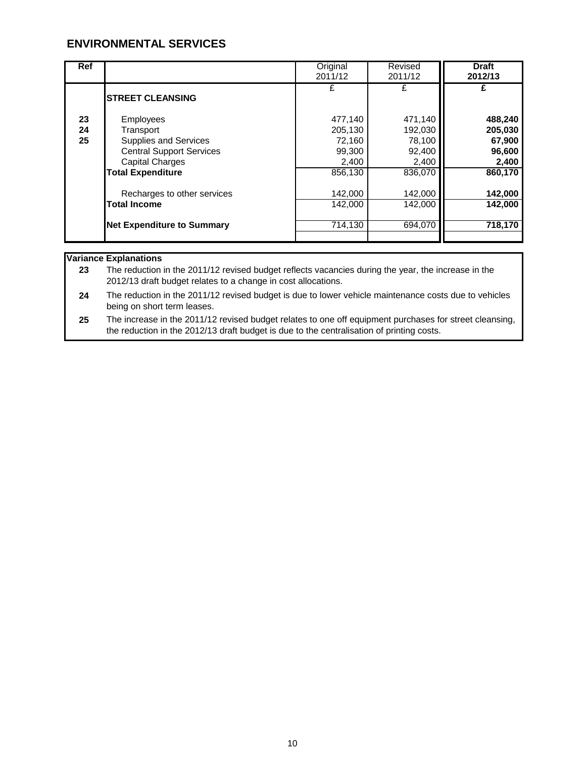| <b>Ref</b>     |                                                                                                                                                 | Original<br>2011/12                                        | Revised<br>2011/12                                         | <b>Draft</b><br>2012/13                                    |
|----------------|-------------------------------------------------------------------------------------------------------------------------------------------------|------------------------------------------------------------|------------------------------------------------------------|------------------------------------------------------------|
|                | <b>STREET CLEANSING</b>                                                                                                                         | £                                                          |                                                            |                                                            |
| 23<br>24<br>25 | Employees<br>Transport<br><b>Supplies and Services</b><br><b>Central Support Services</b><br><b>Capital Charges</b><br><b>Total Expenditure</b> | 477,140<br>205,130<br>72,160<br>99,300<br>2,400<br>856,130 | 471,140<br>192,030<br>78,100<br>92,400<br>2,400<br>836,070 | 488,240<br>205,030<br>67,900<br>96,600<br>2,400<br>860,170 |
|                | Recharges to other services<br><b>Total Income</b><br><b>Net Expenditure to Summary</b>                                                         | 142,000<br>142,000<br>714,130                              | 142,000<br>142,000<br>694,070                              | 142,000<br>142,000<br>718,170                              |

#### **Variance Explanations**

**23** The reduction in the 2011/12 revised budget reflects vacancies during the year, the increase in the 2012/13 draft budget relates to a change in cost allocations.

**24** The reduction in the 2011/12 revised budget is due to lower vehicle maintenance costs due to vehicles being on short term leases.

**25** The increase in the 2011/12 revised budget relates to one off equipment purchases for street cleansing, the reduction in the 2012/13 draft budget is due to the centralisation of printing costs.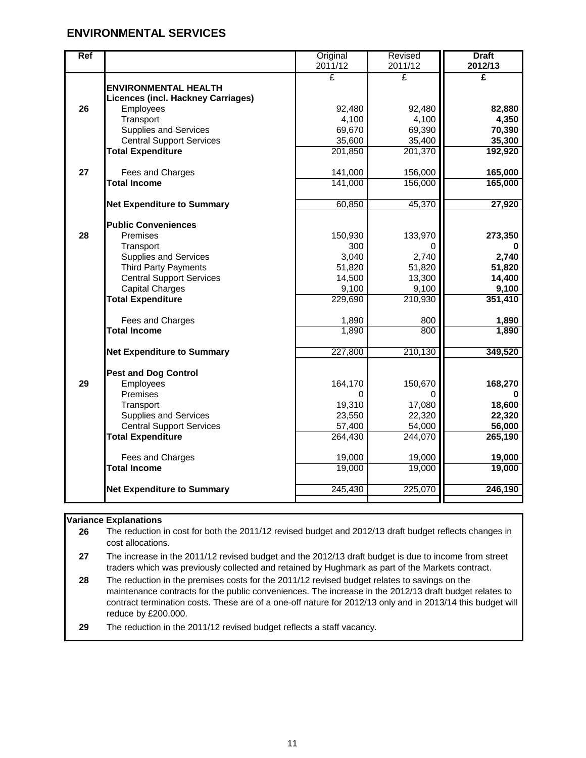| <b>Ref</b> |                                                    | Original<br>2011/12 | Revised<br>2011/12 | <b>Draft</b><br>2012/13 |
|------------|----------------------------------------------------|---------------------|--------------------|-------------------------|
|            |                                                    | £                   | £                  | £                       |
|            | <b>ENVIRONMENTAL HEALTH</b>                        |                     |                    |                         |
|            | <b>Licences (incl. Hackney Carriages)</b>          |                     |                    |                         |
| 26         | Employees                                          | 92,480              | 92,480             | 82,880                  |
|            | Transport<br><b>Supplies and Services</b>          | 4,100<br>69,670     | 4,100<br>69,390    | 4,350<br>70,390         |
|            | <b>Central Support Services</b>                    | 35,600              | 35,400             | 35,300                  |
|            | <b>Total Expenditure</b>                           | 201,850             | 201,370            | 192,920                 |
|            |                                                    |                     |                    |                         |
| 27         | Fees and Charges                                   | 141,000             | 156,000            | 165,000                 |
|            | <b>Total Income</b>                                | 141,000             | 156,000            | 165,000                 |
|            |                                                    |                     |                    |                         |
|            | <b>Net Expenditure to Summary</b>                  | 60,850              | 45,370             | 27,920                  |
|            | <b>Public Conveniences</b>                         |                     |                    |                         |
| 28         | Premises                                           | 150,930             | 133,970            | 273,350                 |
|            | Transport                                          | 300                 |                    |                         |
|            | <b>Supplies and Services</b>                       | 3,040               | 2,740              | 2,740                   |
|            | <b>Third Party Payments</b>                        | 51,820              | 51,820             | 51,820                  |
|            | <b>Central Support Services</b>                    | 14,500              | 13,300             | 14,400                  |
|            | <b>Capital Charges</b><br><b>Total Expenditure</b> | 9,100<br>229,690    | 9,100<br>210,930   | 9,100<br>351,410        |
|            |                                                    |                     |                    |                         |
|            | Fees and Charges                                   | 1,890               | 800                | 1,890                   |
|            | <b>Total Income</b>                                | 1,890               | 800                | 1,890                   |
|            |                                                    |                     |                    |                         |
|            | <b>Net Expenditure to Summary</b>                  | 227,800             | 210,130            | 349,520                 |
|            | <b>Pest and Dog Control</b>                        |                     |                    |                         |
| 29         | Employees                                          | 164,170             | 150,670            | 168,270                 |
|            | Premises                                           | 0                   |                    |                         |
|            | Transport                                          | 19,310              | 17,080             | 18,600                  |
|            | <b>Supplies and Services</b>                       | 23,550              | 22,320             | 22,320                  |
|            | <b>Central Support Services</b>                    | 57,400              | 54,000             | 56,000                  |
|            | <b>Total Expenditure</b>                           | 264,430             | 244,070            | 265,190                 |
|            | Fees and Charges                                   | 19,000              | 19,000             | 19,000                  |
|            | <b>Total Income</b>                                | 19,000              | 19,000             | 19,000                  |
|            |                                                    |                     |                    |                         |
|            | <b>Net Expenditure to Summary</b>                  | 245,430             | 225,070            | 246,190                 |
|            |                                                    |                     |                    |                         |

#### **Variance Explanations**

**26** The reduction in cost for both the 2011/12 revised budget and 2012/13 draft budget reflects changes in cost allocations.

**27** The increase in the 2011/12 revised budget and the 2012/13 draft budget is due to income from street traders which was previously collected and retained by Hughmark as part of the Markets contract.

**28** The reduction in the premises costs for the 2011/12 revised budget relates to savings on the maintenance contracts for the public conveniences. The increase in the 2012/13 draft budget relates to contract termination costs. These are of a one-off nature for 2012/13 only and in 2013/14 this budget will reduce by £200,000.

**29** The reduction in the 2011/12 revised budget reflects a staff vacancy.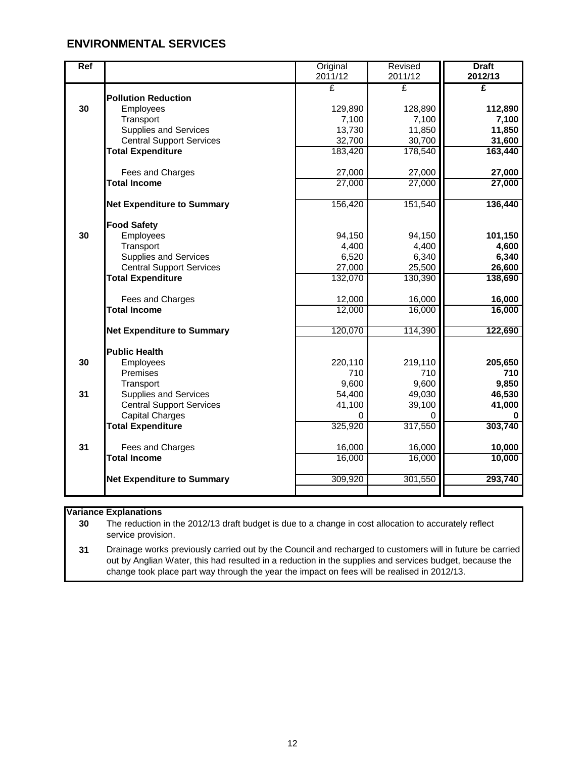| Ref |                                   | Original | Revised | <b>Draft</b> |
|-----|-----------------------------------|----------|---------|--------------|
|     |                                   | 2011/12  | 2011/12 | 2012/13      |
|     |                                   | £        | £       | £            |
|     | <b>Pollution Reduction</b>        |          |         |              |
| 30  | Employees                         | 129,890  | 128,890 | 112,890      |
|     | Transport                         | 7,100    | 7,100   | 7,100        |
|     | <b>Supplies and Services</b>      | 13,730   | 11,850  | 11,850       |
|     | <b>Central Support Services</b>   | 32,700   | 30,700  | 31,600       |
|     | <b>Total Expenditure</b>          | 183,420  | 178,540 | 163,440      |
|     |                                   |          |         |              |
|     | Fees and Charges                  | 27,000   | 27,000  | 27,000       |
|     | <b>Total Income</b>               | 27,000   | 27,000  | 27,000       |
|     |                                   |          |         |              |
|     | <b>Net Expenditure to Summary</b> | 156,420  | 151,540 | 136,440      |
|     |                                   |          |         |              |
|     | <b>Food Safety</b>                |          |         |              |
| 30  | Employees                         | 94,150   | 94,150  | 101,150      |
|     | Transport                         | 4,400    | 4,400   | 4,600        |
|     | <b>Supplies and Services</b>      | 6,520    | 6,340   | 6,340        |
|     | <b>Central Support Services</b>   | 27,000   | 25,500  | 26,600       |
|     | <b>Total Expenditure</b>          | 132,070  | 130,390 | 138,690      |
|     |                                   |          |         |              |
|     | Fees and Charges                  | 12,000   | 16,000  | 16,000       |
|     | <b>Total Income</b>               | 12,000   | 16,000  | 16,000       |
|     |                                   |          |         |              |
|     | <b>Net Expenditure to Summary</b> | 120,070  | 114,390 | 122,690      |
|     |                                   |          |         |              |
|     | <b>Public Health</b>              |          |         |              |
| 30  | Employees                         | 220,110  | 219,110 | 205,650      |
|     | Premises                          | 710      | 710     | 710          |
|     | Transport                         | 9,600    | 9,600   | 9,850        |
| 31  | <b>Supplies and Services</b>      | 54,400   | 49,030  | 46,530       |
|     | <b>Central Support Services</b>   | 41,100   | 39,100  | 41,000       |
|     | <b>Capital Charges</b>            | 0        |         |              |
|     | <b>Total Expenditure</b>          | 325,920  | 317,550 | 303,740      |
|     |                                   |          |         |              |
| 31  | Fees and Charges                  | 16,000   | 16,000  | 10,000       |
|     | <b>Total Income</b>               | 16,000   | 16,000  | 10,000       |
|     |                                   |          |         |              |
|     | <b>Net Expenditure to Summary</b> | 309,920  | 301,550 | 293,740      |
|     |                                   |          |         |              |

#### **Variance Explanations**

**30** The reduction in the 2012/13 draft budget is due to a change in cost allocation to accurately reflect service provision.

**31** Drainage works previously carried out by the Council and recharged to customers will in future be carried out by Anglian Water, this had resulted in a reduction in the supplies and services budget, because the change took place part way through the year the impact on fees will be realised in 2012/13.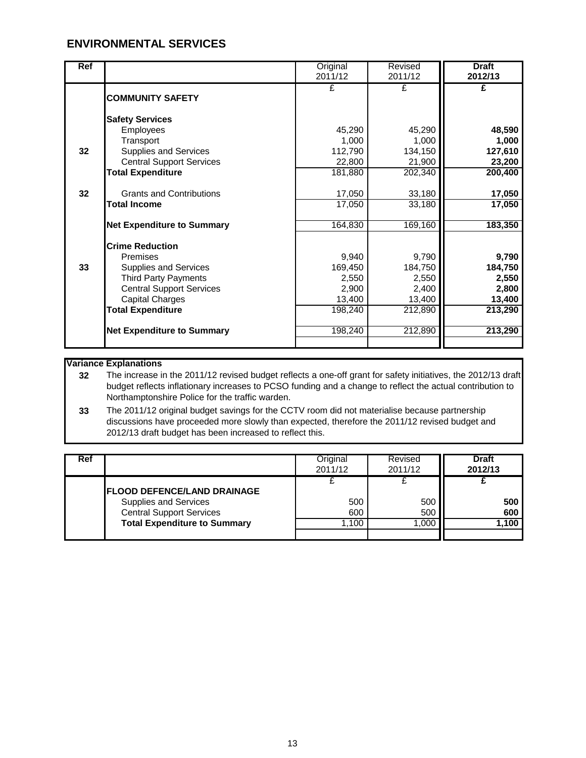| Ref |                                   | Original | Revised | <b>Draft</b> |
|-----|-----------------------------------|----------|---------|--------------|
|     |                                   | 2011/12  | 2011/12 | 2012/13      |
|     |                                   | £        | £       | £            |
|     | <b>COMMUNITY SAFETY</b>           |          |         |              |
|     | <b>Safety Services</b>            |          |         |              |
|     | Employees                         | 45,290   | 45,290  | 48,590       |
|     | Transport                         | 1,000    | 1,000   | 1,000        |
| 32  | Supplies and Services             | 112,790  | 134,150 | 127,610      |
|     | <b>Central Support Services</b>   | 22,800   | 21,900  | 23,200       |
|     | <b>Total Expenditure</b>          | 181,880  | 202,340 | 200,400      |
| 32  | <b>Grants and Contributions</b>   | 17,050   | 33,180  | 17,050       |
|     | <b>Total Income</b>               | 17,050   | 33,180  | 17,050       |
|     |                                   |          |         |              |
|     | <b>Net Expenditure to Summary</b> | 164,830  | 169,160 | 183,350      |
|     | <b>Crime Reduction</b>            |          |         |              |
|     | Premises                          | 9,940    | 9,790   | 9,790        |
| 33  | Supplies and Services             | 169,450  | 184,750 | 184,750      |
|     | <b>Third Party Payments</b>       | 2,550    | 2,550   | 2,550        |
|     | <b>Central Support Services</b>   | 2,900    | 2,400   | 2,800        |
|     | <b>Capital Charges</b>            | 13,400   | 13,400  | 13,400       |
|     | <b>Total Expenditure</b>          | 198,240  | 212,890 | 213,290      |
|     | <b>Net Expenditure to Summary</b> | 198,240  | 212,890 | 213,290      |
|     |                                   |          |         |              |

#### **Variance Explanations**

**32** The increase in the 2011/12 revised budget reflects a one-off grant for safety initiatives, the 2012/13 draft budget reflects inflationary increases to PCSO funding and a change to reflect the actual contribution to Northamptonshire Police for the traffic warden.

**33** The 2011/12 original budget savings for the CCTV room did not materialise because partnership discussions have proceeded more slowly than expected, therefore the 2011/12 revised budget and 2012/13 draft budget has been increased to reflect this.

| Ref |                                                                                                                                        | Original<br>2011/12 | Revised<br>2011/12 | <b>Draft</b><br>2012/13 |
|-----|----------------------------------------------------------------------------------------------------------------------------------------|---------------------|--------------------|-------------------------|
|     | <b>IFLOOD DEFENCE/LAND DRAINAGE</b><br>Supplies and Services<br><b>Central Support Services</b><br><b>Total Expenditure to Summary</b> | 500<br>600<br>.100  | 500<br>500<br>.000 | 500<br>600<br>1,100     |
|     |                                                                                                                                        |                     |                    |                         |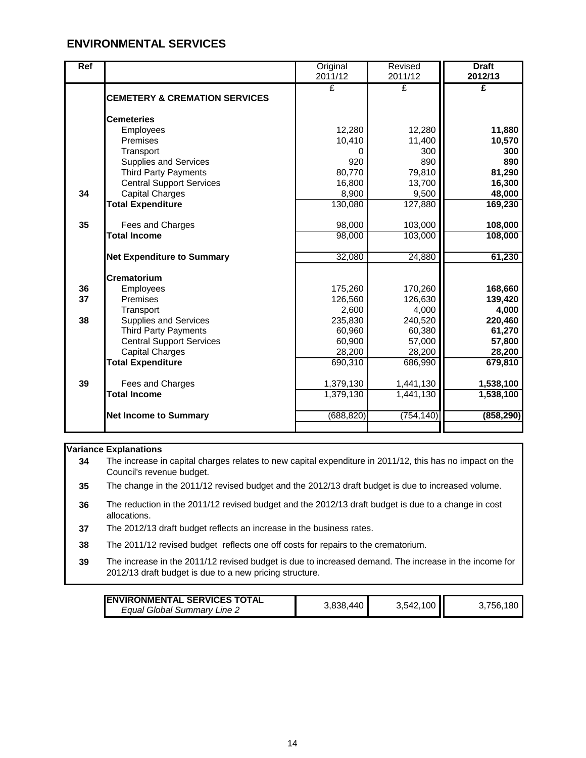| Ref |                                          | Original   | Revised    | <b>Draft</b> |
|-----|------------------------------------------|------------|------------|--------------|
|     |                                          | 2011/12    | 2011/12    | 2012/13      |
|     |                                          | £          | £          | £            |
|     | <b>CEMETERY &amp; CREMATION SERVICES</b> |            |            |              |
|     | <b>Cemeteries</b>                        |            |            |              |
|     | <b>Employees</b>                         | 12,280     | 12,280     | 11,880       |
|     | Premises                                 | 10,410     | 11,400     | 10,570       |
|     | Transport                                | 0          | 300        | 300          |
|     | <b>Supplies and Services</b>             | 920        | 890        | 890          |
|     | <b>Third Party Payments</b>              | 80,770     | 79,810     | 81,290       |
|     | <b>Central Support Services</b>          | 16,800     | 13,700     | 16,300       |
| 34  | <b>Capital Charges</b>                   | 8,900      | 9,500      | 48,000       |
|     | <b>Total Expenditure</b>                 | 130,080    | 127,880    | 169,230      |
| 35  | Fees and Charges                         | 98,000     | 103,000    | 108,000      |
|     | <b>Total Income</b>                      | 98,000     | 103,000    | 108,000      |
|     |                                          |            |            |              |
|     | <b>Net Expenditure to Summary</b>        | 32,080     | 24,880     | 61,230       |
|     | Crematorium                              |            |            |              |
| 36  | Employees                                | 175,260    | 170,260    | 168,660      |
| 37  | Premises                                 | 126,560    | 126,630    | 139,420      |
|     | Transport                                | 2,600      | 4,000      | 4,000        |
| 38  | <b>Supplies and Services</b>             | 235,830    | 240,520    | 220,460      |
|     | <b>Third Party Payments</b>              | 60,960     | 60,380     | 61,270       |
|     | <b>Central Support Services</b>          | 60,900     | 57,000     | 57,800       |
|     | <b>Capital Charges</b>                   | 28,200     | 28,200     | 28,200       |
|     | <b>Total Expenditure</b>                 | 690,310    | 686,990    | 679,810      |
| 39  | Fees and Charges                         | 1,379,130  | 1,441,130  | 1,538,100    |
|     | <b>Total Income</b>                      | 1,379,130  | 1,441,130  | 1,538,100    |
|     | <b>Net Income to Summary</b>             | (688, 820) | (754, 140) | (858, 290)   |
|     |                                          |            |            |              |
|     |                                          |            |            |              |

#### **Variance Explanations**

**34** The increase in capital charges relates to new capital expenditure in 2011/12, this has no impact on the Council's revenue budget.

**35** The change in the 2011/12 revised budget and the 2012/13 draft budget is due to increased volume.

**36** The reduction in the 2011/12 revised budget and the 2012/13 draft budget is due to a change in cost allocations.

**37** The 2012/13 draft budget reflects an increase in the business rates.

**38** The 2011/12 revised budget reflects one off costs for repairs to the crematorium.

**39** The increase in the 2011/12 revised budget is due to increased demand. The increase in the income for 2012/13 draft budget is due to a new pricing structure.

| <b>IENVIRONMENTAL SERVICES TOTAL</b> |           |           |               |
|--------------------------------------|-----------|-----------|---------------|
| Equal Global Summary Line 2          | 3.838.440 | 3,542,100 | 180<br>3,756, |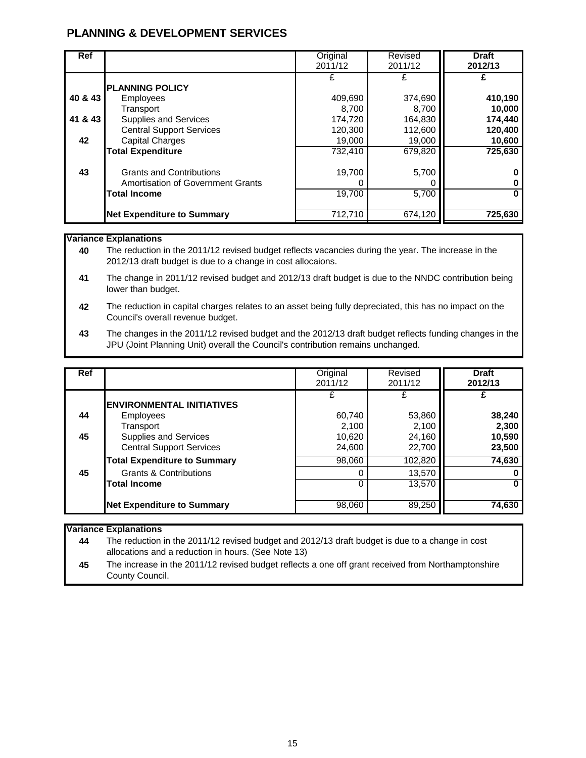| <b>Ref</b> |                                                                      | Original<br>2011/12 | Revised<br>2011/12 | <b>Draft</b><br>2012/13 |
|------------|----------------------------------------------------------------------|---------------------|--------------------|-------------------------|
| 40 & 43    | <b>PLANNING POLICY</b>                                               | £<br>409,690        | 374,690            | 410,190                 |
| 41 & 43    | <b>Employees</b><br>Transport<br><b>Supplies and Services</b>        | 8.700<br>174,720    | 8,700<br>164,830   | 10,000<br>174,440       |
| 42         | <b>Central Support Services</b><br><b>Capital Charges</b>            | 120,300<br>19,000   | 112,600<br>19,000  | 120,400<br>10,600       |
|            | <b>Total Expenditure</b>                                             | 732,410             | 679,820            | 725,630                 |
| 43         | <b>Grants and Contributions</b><br>Amortisation of Government Grants | 19,700<br>0         | 5,700              |                         |
|            | <b>Total Income</b>                                                  | 19,700              | 5,700              |                         |
|            | <b>Net Expenditure to Summary</b>                                    | 712,710             | 674,120            | 725.630                 |

#### **Variance Explanations**

**40** The reduction in the 2011/12 revised budget reflects vacancies during the year. The increase in the 2012/13 draft budget is due to a change in cost allocaions.

- **41** The change in 2011/12 revised budget and 2012/13 draft budget is due to the NNDC contribution being lower than budget.
- **42** The reduction in capital charges relates to an asset being fully depreciated, this has no impact on the Council's overall revenue budget.
- **43** The changes in the 2011/12 revised budget and the 2012/13 draft budget reflects funding changes in the JPU (Joint Planning Unit) overall the Council's contribution remains unchanged.

| <b>Ref</b> |                                                          | Original<br>2011/12 | Revised<br>2011/12 | <b>Draft</b><br>2012/13 |
|------------|----------------------------------------------------------|---------------------|--------------------|-------------------------|
|            | <b>ENVIRONMENTAL INITIATIVES</b>                         |                     |                    |                         |
| 44         | Employees<br>Transport                                   | 60,740<br>2,100     | 53,860<br>2,100    | 38,240<br>2,300         |
| 45         | Supplies and Services<br><b>Central Support Services</b> | 10,620<br>24,600    | 24,160<br>22,700   | 10,590<br>23,500        |
|            | <b>Total Expenditure to Summary</b>                      | 98,060              | 102,820            | 74,630                  |
| 45         | <b>Grants &amp; Contributions</b>                        | 0                   | 13,570             |                         |
|            | <b>Total Income</b>                                      | $\Omega$            | 13,570             |                         |
|            | <b>Net Expenditure to Summary</b>                        | 98,060              | 89,250             | 74,630                  |

#### **Variance Explanations**

**44** The reduction in the 2011/12 revised budget and 2012/13 draft budget is due to a change in cost allocations and a reduction in hours. (See Note 13)

**45** The increase in the 2011/12 revised budget reflects a one off grant received from Northamptonshire County Council.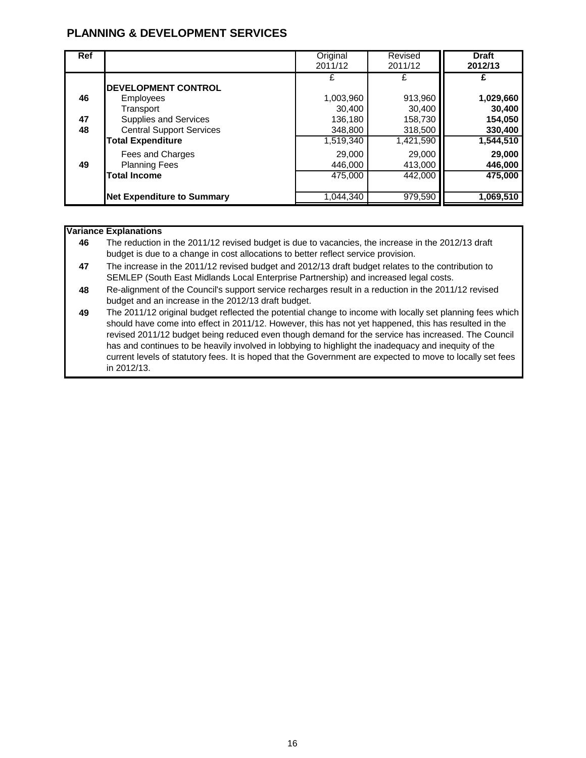| <b>Ref</b> |                                                                                             | Original<br>2011/12                 | Revised<br>2011/12           | <b>Draft</b><br>2012/13        |
|------------|---------------------------------------------------------------------------------------------|-------------------------------------|------------------------------|--------------------------------|
| 46<br>47   | <b>DEVELOPMENT CONTROL</b><br><b>Employees</b><br>Transport<br><b>Supplies and Services</b> | £<br>1,003,960<br>30,400<br>136,180 | 913,960<br>30,400<br>158,730 | 1,029,660<br>30,400<br>154,050 |
| 48         | <b>Central Support Services</b><br><b>Total Expenditure</b>                                 | 348,800<br>1,519,340                | 318,500<br>1,421,590         | 330,400<br>1,544,510           |
| 49         | Fees and Charges<br><b>Planning Fees</b><br><b>Total Income</b>                             | 29,000<br>446,000<br>475,000        | 29,000<br>413,000<br>442,000 | 29,000<br>446,000<br>475,000   |
|            | <b>Net Expenditure to Summary</b>                                                           | 1.044.340                           | 979,590                      | 1,069,510                      |

#### **Variance Explanations**

- **46** The reduction in the 2011/12 revised budget is due to vacancies, the increase in the 2012/13 draft budget is due to a change in cost allocations to better reflect service provision.
- **47** The increase in the 2011/12 revised budget and 2012/13 draft budget relates to the contribution to SEMLEP (South East Midlands Local Enterprise Partnership) and increased legal costs.
- **48** Re-alignment of the Council's support service recharges result in a reduction in the 2011/12 revised budget and an increase in the 2012/13 draft budget.
- **49** The 2011/12 original budget reflected the potential change to income with locally set planning fees which should have come into effect in 2011/12. However, this has not yet happened, this has resulted in the revised 2011/12 budget being reduced even though demand for the service has increased. The Council has and continues to be heavily involved in lobbying to highlight the inadequacy and inequity of the current levels of statutory fees. It is hoped that the Government are expected to move to locally set fees in 2012/13.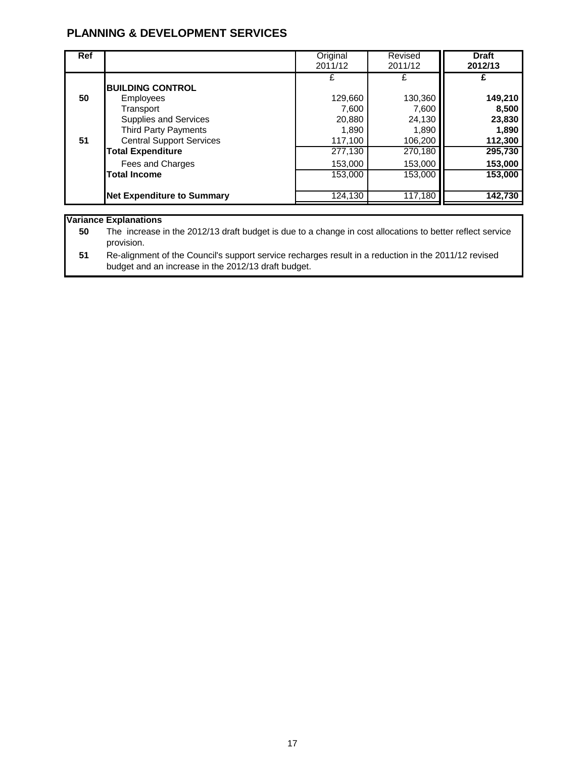| <b>Ref</b> |                                      | Original<br>2011/12 | Revised<br>2011/12 | <b>Draft</b><br>2012/13 |
|------------|--------------------------------------|---------------------|--------------------|-------------------------|
| 50         | <b>BUILDING CONTROL</b><br>Employees | £<br>129,660        | 130,360            | 149,210                 |
|            | Transport                            | 7,600               | 7,600              | 8,500                   |
|            | <b>Supplies and Services</b>         | 20,880              | 24,130             | 23,830                  |
|            | <b>Third Party Payments</b>          | 1,890               | 1,890              | 1,890                   |
| 51         | <b>Central Support Services</b>      | 117,100             | 106,200            | 112,300                 |
|            | <b>Total Expenditure</b>             | 277,130             | 270,180            | 295,730                 |
|            | Fees and Charges                     | 153,000             | 153,000            | 153,000                 |
|            | <b>Total Income</b>                  | 153.000             | 153,000            | 153,000                 |
|            | <b>Net Expenditure to Summary</b>    | 124,130             | 117,180            | 142,730                 |

#### **Variance Explanations**

**50** The increase in the 2012/13 draft budget is due to a change in cost allocations to better reflect service provision.

**51** Re-alignment of the Council's support service recharges result in a reduction in the 2011/12 revised budget and an increase in the 2012/13 draft budget.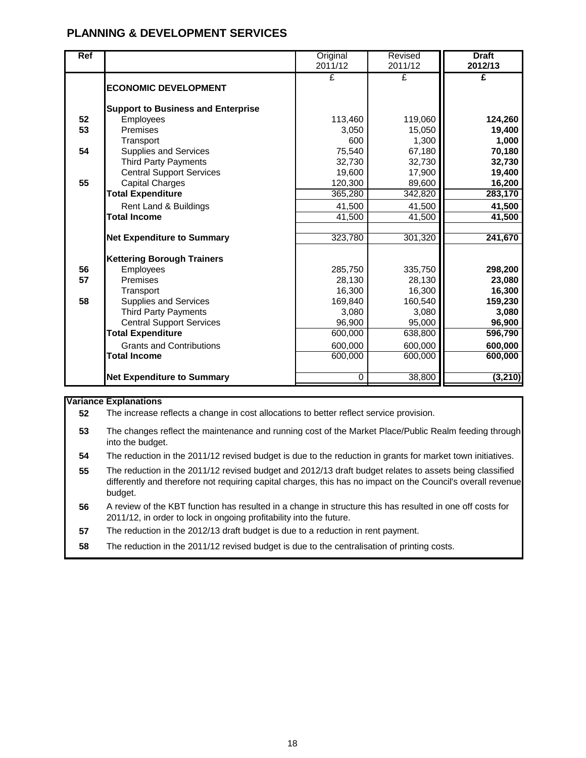| <b>Ref</b> |                                           | Original<br>2011/12 | Revised<br>2011/12 | <b>Draft</b><br>2012/13 |
|------------|-------------------------------------------|---------------------|--------------------|-------------------------|
|            | <b>ECONOMIC DEVELOPMENT</b>               | £                   | £                  | £                       |
|            | <b>Support to Business and Enterprise</b> |                     |                    |                         |
| 52         | Employees                                 | 113,460             | 119,060            | 124,260                 |
| 53         | Premises                                  | 3,050               | 15,050             | 19,400                  |
|            | Transport                                 | 600                 | 1,300              | 1,000                   |
| 54         | <b>Supplies and Services</b>              | 75,540              | 67,180             | 70,180                  |
|            | <b>Third Party Payments</b>               | 32,730              | 32,730             | 32,730                  |
|            | <b>Central Support Services</b>           | 19,600              | 17,900             | 19,400                  |
| 55         | <b>Capital Charges</b>                    | 120,300             | 89,600             | 16,200                  |
|            | <b>Total Expenditure</b>                  | 365,280             | 342,820            | 283,170                 |
|            | Rent Land & Buildings                     | 41,500              | 41,500             | 41,500                  |
|            | <b>Total Income</b>                       | 41,500              | 41,500             | 41,500                  |
|            |                                           |                     |                    |                         |
|            | <b>Net Expenditure to Summary</b>         | 323,780             | 301,320            | 241,670                 |
|            | <b>Kettering Borough Trainers</b>         |                     |                    |                         |
| 56         | Employees                                 | 285,750             | 335,750            | 298,200                 |
| 57         | Premises                                  | 28,130              | 28,130             | 23,080                  |
|            | Transport                                 | 16,300              | 16,300             | 16,300                  |
| 58         | Supplies and Services                     | 169,840             | 160,540            | 159,230                 |
|            | <b>Third Party Payments</b>               | 3,080               | 3,080              | 3,080                   |
|            | <b>Central Support Services</b>           | 96,900              | 95,000             | 96,900                  |
|            | <b>Total Expenditure</b>                  | 600,000             | 638,800            | 596,790                 |
|            | <b>Grants and Contributions</b>           | 600,000             | 600,000            | 600,000                 |
|            | <b>Total Income</b>                       | 600,000             | 600,000            | 600,000                 |
|            |                                           |                     |                    |                         |
|            | <b>Net Expenditure to Summary</b>         | 0                   | 38,800             | (3, 210)                |

#### **Variance Explanations**

**52** The increase reflects a change in cost allocations to better reflect service provision.

- **53** The changes reflect the maintenance and running cost of the Market Place/Public Realm feeding through into the budget.
- **54** The reduction in the 2011/12 revised budget is due to the reduction in grants for market town initiatives.
- **55** The reduction in the 2011/12 revised budget and 2012/13 draft budget relates to assets being classified differently and therefore not requiring capital charges, this has no impact on the Council's overall revenue budget.
- **56** A review of the KBT function has resulted in a change in structure this has resulted in one off costs for 2011/12, in order to lock in ongoing profitability into the future.
- **57** The reduction in the 2012/13 draft budget is due to a reduction in rent payment.
- **58** The reduction in the 2011/12 revised budget is due to the centralisation of printing costs.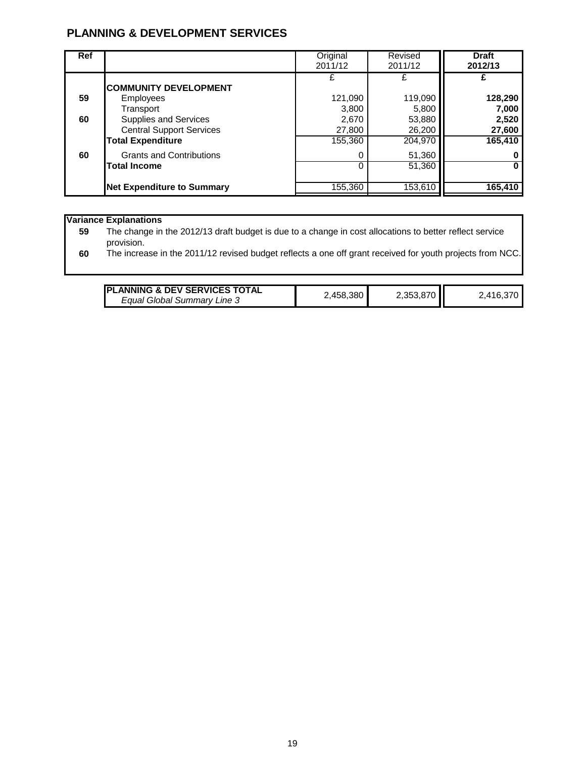| <b>Ref</b> |                                                                                                          | Original<br>2011/12                 | Revised<br>2011/12                   | <b>Draft</b><br>2012/13             |
|------------|----------------------------------------------------------------------------------------------------------|-------------------------------------|--------------------------------------|-------------------------------------|
| 59         | <b>COMMUNITY DEVELOPMENT</b><br><b>Employees</b>                                                         | £<br>121,090                        | 119,090                              | 128,290                             |
| 60         | Transport<br><b>Supplies and Services</b><br><b>Central Support Services</b><br><b>Total Expenditure</b> | 3,800<br>2,670<br>27,800<br>155,360 | 5,800<br>53,880<br>26,200<br>204,970 | 7,000<br>2,520<br>27,600<br>165,410 |
| 60         | <b>Grants and Contributions</b><br><b>Total Income</b>                                                   | 0<br>0                              | 51,360<br>51,360                     |                                     |
|            | <b>Net Expenditure to Summary</b>                                                                        | 155,360                             | 153,610                              | 165,410                             |

#### **Variance Explanations**

**59** The change in the 2012/13 draft budget is due to a change in cost allocations to better reflect service provision.

**60** The increase in the 2011/12 revised budget reflects a one off grant received for youth projects from NCC.

| <b>IPLANNING &amp; DEV SERVICES TOTAL</b> |           |           |           |
|-------------------------------------------|-----------|-----------|-----------|
| Equal Global Summary Line 3               | 2,458,380 | 2,353,870 | 2,416,370 |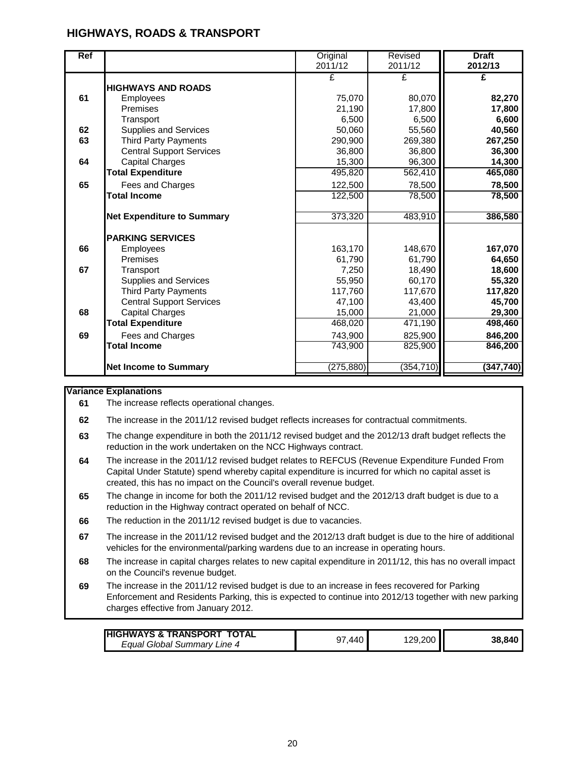## **HIGHWAYS, ROADS & TRANSPORT**

| <b>Ref</b> |                                   | Original<br>2011/12 | Revised<br>2011/12 | <b>Draft</b><br>2012/13 |
|------------|-----------------------------------|---------------------|--------------------|-------------------------|
|            |                                   | £                   | £                  | £                       |
|            | <b>HIGHWAYS AND ROADS</b>         |                     |                    |                         |
| 61         |                                   |                     |                    |                         |
|            | Employees                         | 75,070              | 80,070             | 82,270                  |
|            | Premises                          | 21,190              | 17,800             | 17,800                  |
|            | Transport                         | 6,500               | 6,500              | 6,600                   |
| 62         | <b>Supplies and Services</b>      | 50,060              | 55,560             | 40,560                  |
| 63         | <b>Third Party Payments</b>       | 290,900             | 269,380            | 267,250                 |
|            | <b>Central Support Services</b>   | 36,800              | 36,800             | 36,300                  |
| 64         | <b>Capital Charges</b>            | 15,300              | 96,300             | 14,300                  |
|            | <b>Total Expenditure</b>          | 495,820             | 562,410            | 465,080                 |
| 65         | Fees and Charges                  | 122,500             | 78,500             | 78,500                  |
|            | <b>Total Income</b>               | 122,500             | 78,500             | 78,500                  |
|            |                                   |                     |                    |                         |
|            | <b>Net Expenditure to Summary</b> | 373,320             | 483,910            | 386,580                 |
|            | <b>PARKING SERVICES</b>           |                     |                    |                         |
| 66         | Employees                         | 163,170             | 148,670            | 167,070                 |
|            | Premises                          | 61,790              | 61,790             | 64,650                  |
| 67         | Transport                         | 7,250               | 18,490             | 18,600                  |
|            | Supplies and Services             | 55,950              | 60,170             | 55,320                  |
|            | <b>Third Party Payments</b>       | 117,760             | 117,670            | 117,820                 |
|            | <b>Central Support Services</b>   | 47,100              | 43,400             | 45,700                  |
| 68         | <b>Capital Charges</b>            | 15,000              | 21,000             | 29,300                  |
|            | <b>Total Expenditure</b>          | 468,020             | 471,190            | 498,460                 |
| 69         | Fees and Charges                  | 743,900             | 825,900            | 846,200                 |
|            | <b>Total Income</b>               | 743,900             | 825,900            | 846,200                 |
|            |                                   |                     |                    |                         |
|            | <b>Net Income to Summary</b>      | (275, 880)          | (354, 710)         | (347, 740)              |

#### **Variance Explanations**

**61** The increase reflects operational changes.

**62** The increase in the 2011/12 revised budget reflects increases for contractual commitments.

- **63** The change expenditure in both the 2011/12 revised budget and the 2012/13 draft budget reflects the reduction in the work undertaken on the NCC Highways contract.
- **64** The increase in the 2011/12 revised budget relates to REFCUS (Revenue Expenditure Funded From Capital Under Statute) spend whereby capital expenditure is incurred for which no capital asset is created, this has no impact on the Council's overall revenue budget.
- **65** The change in income for both the 2011/12 revised budget and the 2012/13 draft budget is due to a reduction in the Highway contract operated on behalf of NCC.
- **66** The reduction in the 2011/12 revised budget is due to vacancies.
- **67** The increase in the 2011/12 revised budget and the 2012/13 draft budget is due to the hire of additional vehicles for the environmental/parking wardens due to an increase in operating hours.
- **68** The increase in capital charges relates to new capital expenditure in 2011/12, this has no overall impact on the Council's revenue budget.
- **69** The increase in the 2011/12 revised budget is due to an increase in fees recovered for Parking Enforcement and Residents Parking, this is expected to continue into 2012/13 together with new parking charges effective from January 2012.

| <b>HIGHWAYS &amp; TRANSPORT TOTAL</b> | .440 | 129.200 II |        |
|---------------------------------------|------|------------|--------|
| Equal Global Summary Line 4           | 97   |            | 38.840 |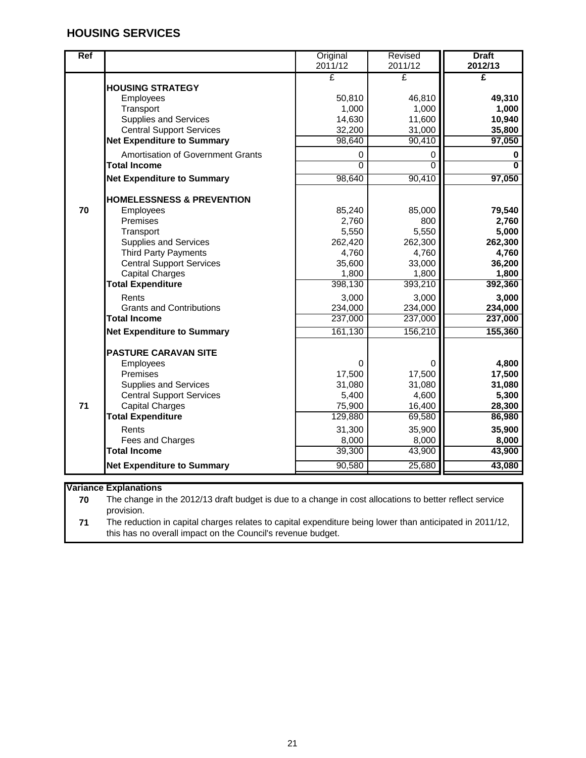| <b>Ref</b> |                                      | Original<br>2011/12 | <b>Revised</b><br>2011/12 | <b>Draft</b><br>2012/13 |
|------------|--------------------------------------|---------------------|---------------------------|-------------------------|
|            |                                      | £                   | £                         | £                       |
|            | <b>HOUSING STRATEGY</b>              |                     |                           |                         |
|            | Employees                            | 50,810              | 46,810                    | 49,310                  |
|            | Transport                            | 1,000               | 1,000                     | 1,000                   |
|            | <b>Supplies and Services</b>         | 14,630              | 11,600                    | 10,940                  |
|            | <b>Central Support Services</b>      | 32,200              | 31,000                    | 35,800                  |
|            | <b>Net Expenditure to Summary</b>    | 98,640              | 90,410                    | 97,050                  |
|            | Amortisation of Government Grants    | 0                   | 0                         | 0                       |
|            | <b>Total Income</b>                  | $\overline{0}$      | $\overline{0}$            | $\overline{\mathbf{0}}$ |
|            | <b>Net Expenditure to Summary</b>    | 98,640              | 90,410                    | 97,050                  |
|            | <b>HOMELESSNESS &amp; PREVENTION</b> |                     |                           |                         |
| 70         | Employees                            | 85,240              | 85,000                    | 79,540                  |
|            | Premises                             | 2,760               | 800                       | 2,760                   |
|            | Transport                            | 5,550               | 5,550                     | 5,000                   |
|            | <b>Supplies and Services</b>         | 262,420             | 262,300                   | 262,300                 |
|            | <b>Third Party Payments</b>          | 4,760               | 4,760                     | 4,760                   |
|            | <b>Central Support Services</b>      | 35,600              | 33,000                    | 36,200                  |
|            | <b>Capital Charges</b>               | 1,800               | 1,800                     | 1,800                   |
|            | <b>Total Expenditure</b>             | 398,130             | 393,210                   | 392,360                 |
|            | Rents                                | 3,000               | 3,000                     | 3,000                   |
|            | <b>Grants and Contributions</b>      | 234,000             | 234,000                   | 234,000                 |
|            | <b>Total Income</b>                  | 237,000             | 237,000                   | 237,000                 |
|            | <b>Net Expenditure to Summary</b>    | 161,130             | 156,210                   | 155,360                 |
|            | <b>PASTURE CARAVAN SITE</b>          |                     |                           |                         |
|            | Employees                            | 0                   | 0                         | 4,800                   |
|            | Premises                             | 17,500              | 17,500                    | 17,500                  |
|            | <b>Supplies and Services</b>         | 31,080              | 31,080                    | 31,080                  |
|            | <b>Central Support Services</b>      | 5,400               | 4,600                     | 5,300                   |
| 71         | <b>Capital Charges</b>               | 75,900              | 16,400                    | 28,300                  |
|            | <b>Total Expenditure</b>             | 129,880             | 69,580                    | 86,980                  |
|            | Rents                                | 31,300              | 35,900                    | 35,900                  |
|            | Fees and Charges                     | 8,000               | 8,000                     | 8,000                   |
|            | <b>Total Income</b>                  | 39,300              | 43,900                    | 43,900                  |
|            | <b>Net Expenditure to Summary</b>    | 90,580              | 25,680                    | 43,080                  |

#### **Variance Explanations**

**70** The change in the 2012/13 draft budget is due to a change in cost allocations to better reflect service provision.

**71** The reduction in capital charges relates to capital expenditure being lower than anticipated in 2011/12, this has no overall impact on the Council's revenue budget.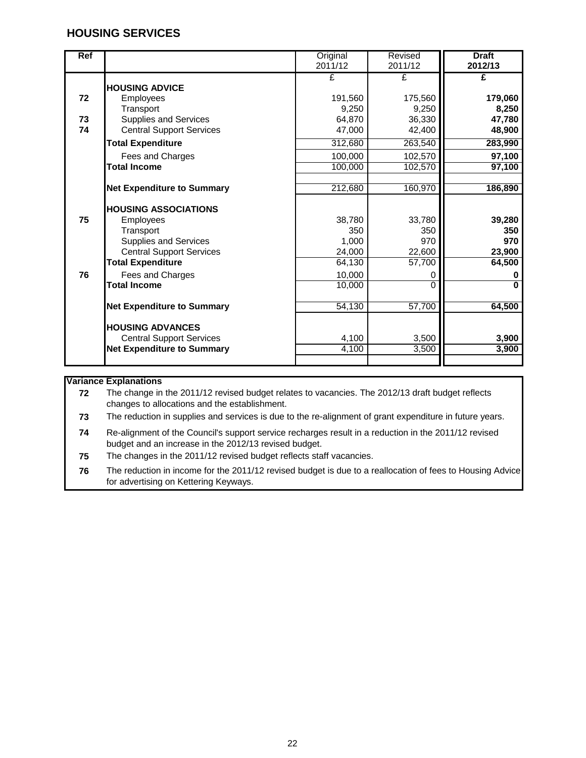| Ref |                                   | Original | Revised  | <b>Draft</b>   |
|-----|-----------------------------------|----------|----------|----------------|
|     |                                   | 2011/12  | 2011/12  | 2012/13        |
|     |                                   | £        | £        | £              |
|     | <b>HOUSING ADVICE</b>             |          |          |                |
| 72  | Employees                         | 191,560  | 175,560  | 179,060        |
|     | Transport                         | 9.250    | 9,250    | 8,250          |
| 73  | <b>Supplies and Services</b>      | 64,870   | 36,330   | 47,780         |
| 74  | <b>Central Support Services</b>   | 47,000   | 42,400   | 48,900         |
|     | <b>Total Expenditure</b>          | 312,680  | 263,540  | 283,990        |
|     | Fees and Charges                  | 100,000  | 102,570  | 97,100         |
|     | <b>Total Income</b>               | 100,000  | 102,570  | 97,100         |
|     |                                   |          |          |                |
|     | <b>Net Expenditure to Summary</b> | 212,680  | 160,970  | 186,890        |
|     |                                   |          |          |                |
|     | <b>IHOUSING ASSOCIATIONS</b>      |          |          |                |
| 75  | Employees                         | 38,780   | 33,780   | 39,280         |
|     | Transport                         | 350      | 350      | 350            |
|     | <b>Supplies and Services</b>      | 1,000    | 970      | 970            |
|     | <b>Central Support Services</b>   | 24,000   | 22,600   | 23,900         |
|     | <b>Total Expenditure</b>          | 64,130   | 57,700   | 64,500         |
| 76  | Fees and Charges                  | 10,000   | 0        | 0              |
|     | <b>Total Income</b>               | 10,000   | $\Omega$ | $\overline{0}$ |
|     |                                   | 54,130   | 57,700   | 64,500         |
|     | <b>Net Expenditure to Summary</b> |          |          |                |
|     | <b>HOUSING ADVANCES</b>           |          |          |                |
|     | <b>Central Support Services</b>   | 4,100    | 3,500    | 3,900          |
|     | <b>Net Expenditure to Summary</b> | 4,100    | 3,500    | 3,900          |
|     |                                   |          |          |                |

#### **Variance Explanations**

**72** The change in the 2011/12 revised budget relates to vacancies. The 2012/13 draft budget reflects changes to allocations and the establishment.

**73** The reduction in supplies and services is due to the re-alignment of grant expenditure in future years.

- **74** Re-alignment of the Council's support service recharges result in a reduction in the 2011/12 revised budget and an increase in the 2012/13 revised budget.
- **75** The changes in the 2011/12 revised budget reflects staff vacancies.

**76** The reduction in income for the 2011/12 revised budget is due to a reallocation of fees to Housing Advice for advertising on Kettering Keyways.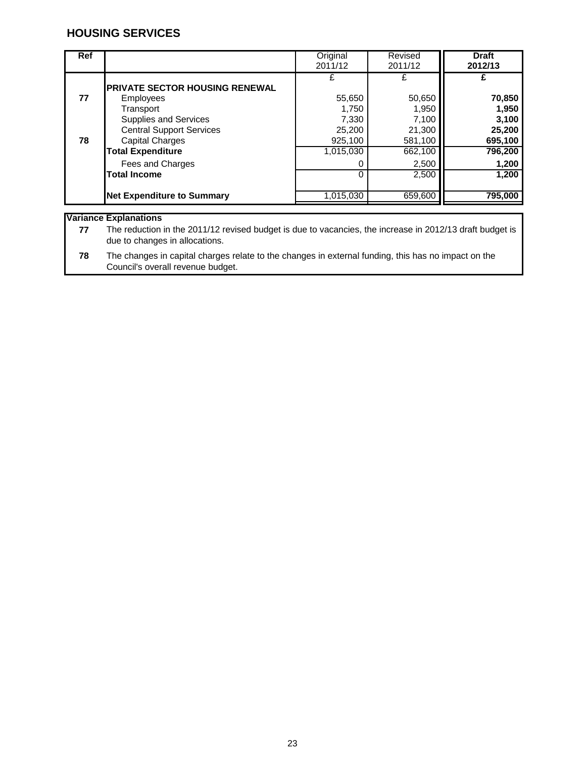| <b>Ref</b> |                                                                                                 | Original<br>2011/12                 | Revised<br>2011/12                  | <b>Draft</b><br>2012/13             |
|------------|-------------------------------------------------------------------------------------------------|-------------------------------------|-------------------------------------|-------------------------------------|
| 77         | <b>PRIVATE SECTOR HOUSING RENEWAL</b><br>Employees                                              | £<br>55,650                         | 50,650                              | 70,850                              |
| 78         | Transport<br><b>Supplies and Services</b><br><b>Central Support Services</b><br>Capital Charges | 1,750<br>7,330<br>25,200<br>925,100 | 1,950<br>7,100<br>21,300<br>581,100 | 1,950<br>3,100<br>25,200<br>695,100 |
|            | <b>Total Expenditure</b><br>Fees and Charges                                                    | 1,015,030<br>0                      | 662,100<br>2,500                    | 796,200<br>1,200                    |
|            | <b>Total Income</b>                                                                             | $\Omega$                            | 2,500                               | 1,200                               |
|            | <b>Net Expenditure to Summary</b>                                                               | 1,015,030                           | 659,600                             | 795,000                             |

**Variance Explanations**

**77** The reduction in the 2011/12 revised budget is due to vacancies, the increase in 2012/13 draft budget is due to changes in allocations.

**78** The changes in capital charges relate to the changes in external funding, this has no impact on the Council's overall revenue budget.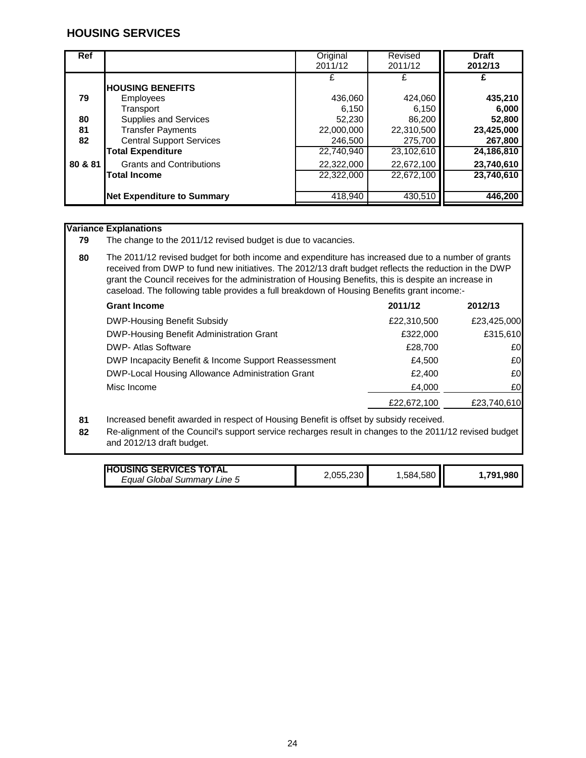| <b>Ref</b> |                                                                                         | Original<br>2011/12                 | Revised<br>2011/12                  | <b>Draft</b><br>2012/13             |
|------------|-----------------------------------------------------------------------------------------|-------------------------------------|-------------------------------------|-------------------------------------|
| 79<br>80   | <b>IHOUSING BENEFITS</b><br>Employees<br>Transport<br>Supplies and Services             | £<br>436,060<br>6,150<br>52,230     | 424,060<br>6,150<br>86,200          | 435,210<br>6,000<br>52,800          |
| 81<br>82   | <b>Transfer Payments</b><br><b>Central Support Services</b><br><b>Total Expenditure</b> | 22,000,000<br>246,500<br>22,740,940 | 22,310,500<br>275,700<br>23,102,610 | 23,425,000<br>267,800<br>24,186,810 |
| 80 & 81    | <b>Grants and Contributions</b><br><b>Total Income</b>                                  | 22,322,000<br>22.322.000            | 22,672,100<br>22,672,100            | 23,740,610<br>23,740,610            |
|            | <b>Net Expenditure to Summary</b>                                                       | 418,940                             | 430.510                             | 446,200                             |

#### **Variance Explanations**

**79** The change to the 2011/12 revised budget is due to vacancies.

**80** The 2011/12 revised budget for both income and expenditure has increased due to a number of grants received from DWP to fund new initiatives. The 2012/13 draft budget reflects the reduction in the DWP grant the Council receives for the administration of Housing Benefits, this is despite an increase in caseload. The following table provides a full breakdown of Housing Benefits grant income:-

| <b>Grant Income</b>                                  | 2011/12     | 2012/13     |
|------------------------------------------------------|-------------|-------------|
| <b>DWP-Housing Benefit Subsidy</b>                   | £22,310,500 | £23,425,000 |
| <b>DWP-Housing Benefit Administration Grant</b>      | £322,000    | £315,610    |
| <b>DWP- Atlas Software</b>                           | £28,700     | £0          |
| DWP Incapacity Benefit & Income Support Reassessment | £4.500      | £O          |
| DWP-Local Housing Allowance Administration Grant     | £2.400      | £0          |
| Misc Income                                          | £4,000      | £0          |
|                                                      | £22,672,100 | £23,740,610 |

**81** Increased benefit awarded in respect of Housing Benefit is offset by subsidy received.

**82** Re-alignment of the Council's support service recharges result in changes to the 2011/12 revised budget and 2012/13 draft budget.

| <b>HOUSING SERVICES TOTAL</b> |           |          |          |
|-------------------------------|-----------|----------|----------|
| Equal Global Summary Line 5   | 2,055,230 | .584,580 | .791.980 |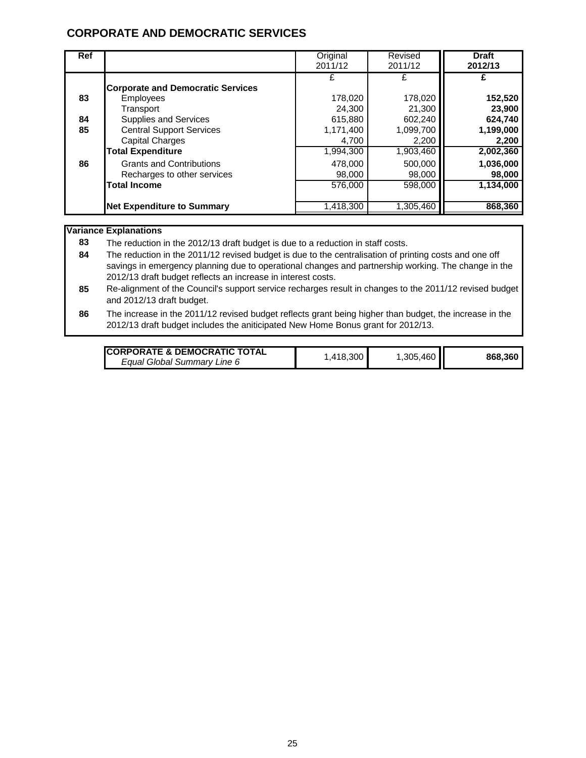## **CORPORATE AND DEMOCRATIC SERVICES**

| <b>Ref</b>     |                                                                                                                                                                                                    | Original<br>2011/12                                                  | Revised<br>2011/12                                              | <b>Draft</b><br>2012/13                                         |
|----------------|----------------------------------------------------------------------------------------------------------------------------------------------------------------------------------------------------|----------------------------------------------------------------------|-----------------------------------------------------------------|-----------------------------------------------------------------|
| 83<br>84<br>85 | <b>Corporate and Democratic Services</b><br><b>Employees</b><br>Transport<br><b>Supplies and Services</b><br><b>Central Support Services</b><br><b>Capital Charges</b><br><b>Total Expenditure</b> | £<br>178.020<br>24.300<br>615,880<br>1,171,400<br>4,700<br>1,994,300 | 178,020<br>21,300<br>602,240<br>1,099,700<br>2,200<br>1,903,460 | 152,520<br>23,900<br>624,740<br>1,199,000<br>2,200<br>2,002,360 |
| 86             | <b>Grants and Contributions</b><br>Recharges to other services<br><b>Total Income</b><br><b>Net Expenditure to Summary</b>                                                                         | 478,000<br>98,000<br>576,000<br>1,418,300                            | 500,000<br>98,000<br>598,000<br>1,305,460                       | 1,036,000<br>98,000<br>1,134,000<br>868,360                     |

#### **Variance Explanations**

**83** The reduction in the 2012/13 draft budget is due to a reduction in staff costs.

**84** The reduction in the 2011/12 revised budget is due to the centralisation of printing costs and one off savings in emergency planning due to operational changes and partnership working. The change in the 2012/13 draft budget reflects an increase in interest costs.

- **85** Re-alignment of the Council's support service recharges result in changes to the 2011/12 revised budget and 2012/13 draft budget.
- **86** The increase in the 2011/12 revised budget reflects grant being higher than budget, the increase in the 2012/13 draft budget includes the aniticipated New Home Bonus grant for 2012/13.

| <b>ICORPORATE &amp; DEMOCRATIC TOTAL</b> |          |             |         |
|------------------------------------------|----------|-------------|---------|
| Equal Global Summary Line 6              | .418.300 | .305,460 II | 868.360 |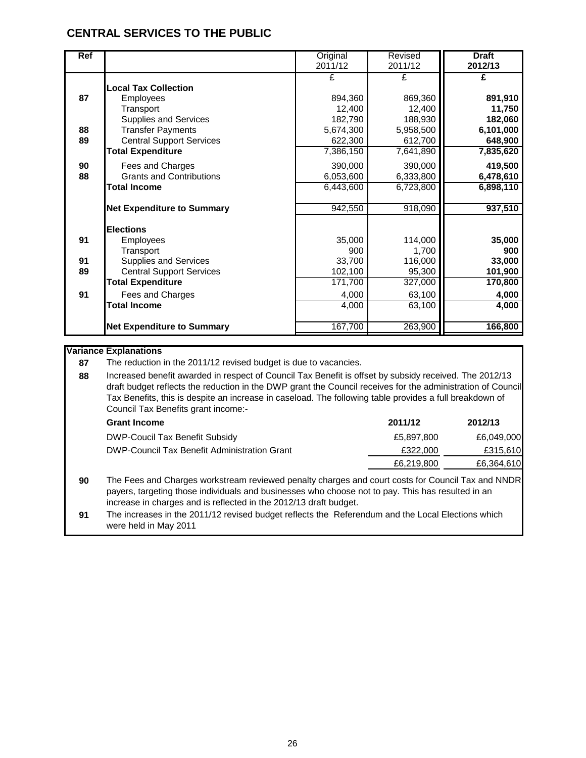## **CENTRAL SERVICES TO THE PUBLIC**

| Ref |                                   | Original  | Revised   | <b>Draft</b> |
|-----|-----------------------------------|-----------|-----------|--------------|
|     |                                   | 2011/12   | 2011/12   | 2012/13      |
|     |                                   | £         | £         | £            |
|     | <b>Local Tax Collection</b>       |           |           |              |
| 87  | <b>Employees</b>                  | 894,360   | 869,360   | 891,910      |
|     | Transport                         | 12,400    | 12,400    | 11,750       |
|     | <b>Supplies and Services</b>      | 182,790   | 188,930   | 182,060      |
| 88  | <b>Transfer Payments</b>          | 5,674,300 | 5,958,500 | 6,101,000    |
| 89  | <b>Central Support Services</b>   | 622,300   | 612,700   | 648,900      |
|     | <b>Total Expenditure</b>          | 7,386,150 | 7,641,890 | 7,835,620    |
| 90  | Fees and Charges                  | 390,000   | 390,000   | 419,500      |
| 88  | <b>Grants and Contributions</b>   | 6,053,600 | 6,333,800 | 6,478,610    |
|     | <b>Total Income</b>               | 6,443,600 | 6,723,800 | 6,898,110    |
|     |                                   |           |           |              |
|     | <b>Net Expenditure to Summary</b> | 942,550   | 918,090   | 937,510      |
|     | <b>Elections</b>                  |           |           |              |
| 91  | <b>Employees</b>                  | 35,000    | 114,000   | 35,000       |
|     | Transport                         | 900       | 1,700     | 900          |
| 91  | <b>Supplies and Services</b>      | 33,700    | 116,000   | 33,000       |
| 89  | <b>Central Support Services</b>   | 102,100   | 95,300    | 101,900      |
|     | <b>Total Expenditure</b>          | 171,700   | 327,000   | 170,800      |
|     |                                   |           |           |              |
| 91  | Fees and Charges                  | 4,000     | 63,100    | 4,000        |
|     | <b>Total Income</b>               | 4,000     | 63,100    | 4,000        |
|     | <b>Net Expenditure to Summary</b> | 167,700   | 263,900   | 166,800      |
|     |                                   |           |           |              |

#### **Variance Explanations**

**87** The reduction in the 2011/12 revised budget is due to vacancies.

**88** Increased benefit awarded in respect of Council Tax Benefit is offset by subsidy received. The 2012/13 draft budget reflects the reduction in the DWP grant the Council receives for the administration of Council Tax Benefits, this is despite an increase in caseload. The following table provides a full breakdown of Council Tax Benefits grant income:-

| <b>Grant Income</b>                          | 2011/12    | 2012/13    |
|----------------------------------------------|------------|------------|
| DWP-Coucil Tax Benefit Subsidy               | £5.897.800 | £6,049,000 |
| DWP-Council Tax Benefit Administration Grant | £322,000   | £315,610   |
|                                              | £6,219,800 | £6,364,610 |
|                                              |            |            |

**90** The Fees and Charges workstream reviewed penalty charges and court costs for Council Tax and NNDR payers, targeting those individuals and businesses who choose not to pay. This has resulted in an increase in charges and is reflected in the 2012/13 draft budget.

**91** The increases in the 2011/12 revised budget reflects the Referendum and the Local Elections which were held in May 2011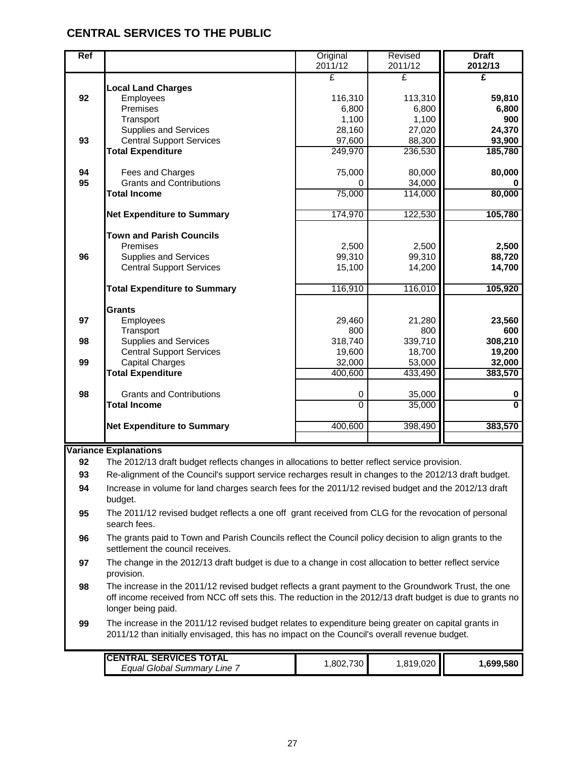## **CENTRAL SERVICES TO THE PUBLIC**

| Ref |                                                                                                                      | Original<br>2011/12 | Revised<br>2011/12 | <b>Draft</b><br>2012/13 |
|-----|----------------------------------------------------------------------------------------------------------------------|---------------------|--------------------|-------------------------|
|     |                                                                                                                      | £                   | £                  | £                       |
|     | <b>Local Land Charges</b>                                                                                            |                     |                    |                         |
| 92  | Employees                                                                                                            | 116,310             | 113,310            | 59,810                  |
|     | Premises                                                                                                             | 6,800               | 6,800              | 6,800                   |
|     | Transport                                                                                                            | 1,100               | 1,100              | 900                     |
|     | <b>Supplies and Services</b>                                                                                         | 28,160              | 27,020             | 24,370                  |
| 93  | <b>Central Support Services</b>                                                                                      | 97,600              | 88,300             | 93,900                  |
|     | <b>Total Expenditure</b>                                                                                             | 249,970             | 236,530            | 185,780                 |
| 94  | Fees and Charges                                                                                                     | 75,000              | 80,000             | 80,000                  |
| 95  | <b>Grants and Contributions</b>                                                                                      | 0                   | 34,000             |                         |
|     | <b>Total Income</b>                                                                                                  | 75,000              | 114,000            | 80,000                  |
|     |                                                                                                                      |                     |                    |                         |
|     | <b>Net Expenditure to Summary</b>                                                                                    | 174,970             | 122,530            | 105,780                 |
|     |                                                                                                                      |                     |                    |                         |
|     | <b>Town and Parish Councils</b>                                                                                      |                     |                    |                         |
|     | Premises                                                                                                             | 2,500               | 2,500              | 2,500                   |
| 96  | <b>Supplies and Services</b>                                                                                         | 99,310              | 99,310             | 88,720                  |
|     | <b>Central Support Services</b>                                                                                      | 15,100              | 14,200             | 14,700                  |
|     |                                                                                                                      | 116,910             | 116,010            | 105,920                 |
|     | <b>Total Expenditure to Summary</b>                                                                                  |                     |                    |                         |
|     | <b>Grants</b>                                                                                                        |                     |                    |                         |
| 97  | Employees                                                                                                            | 29,460              | 21,280             | 23,560                  |
|     | Transport                                                                                                            | 800                 | 800                | 600                     |
| 98  | <b>Supplies and Services</b>                                                                                         | 318,740             | 339,710            | 308,210                 |
|     | <b>Central Support Services</b>                                                                                      | 19,600              | 18,700             | 19,200                  |
| 99  | <b>Capital Charges</b>                                                                                               | 32,000              | 53,000             | 32,000                  |
|     | <b>Total Expenditure</b>                                                                                             | 400,600             | 433,490            | 383,570                 |
|     |                                                                                                                      |                     |                    |                         |
| 98  | <b>Grants and Contributions</b>                                                                                      | 0                   | 35,000             | 0                       |
|     | <b>Total Income</b>                                                                                                  | $\overline{0}$      | 35,000             | $\overline{0}$          |
|     | <b>Net Expenditure to Summary</b>                                                                                    | 400,600             | 398,490            | 383,570                 |
|     |                                                                                                                      |                     |                    |                         |
|     | <b>Variance Explanations</b>                                                                                         |                     |                    |                         |
| 92  | The 2012/13 draft budget reflects changes in allocations to better reflect service provision.                        |                     |                    |                         |
| 93  | Re-alignment of the Council's support service recharges result in changes to the 2012/13 draft budget.               |                     |                    |                         |
| 94  | Increase in volume for land charges search fees for the 2011/12 revised budget and the 2012/13 draft                 |                     |                    |                         |
|     | budget.                                                                                                              |                     |                    |                         |
|     |                                                                                                                      |                     |                    |                         |
| 95  | The 2011/12 revised budget reflects a one off grant received from CLG for the revocation of personal<br>search fees. |                     |                    |                         |

**96** The grants paid to Town and Parish Councils reflect the Council policy decision to align grants to the settlement the council receives.

- **97** The change in the 2012/13 draft budget is due to a change in cost allocation to better reflect service provision.
- **98** The increase in the 2011/12 revised budget reflects a grant payment to the Groundwork Trust, the one off income received from NCC off sets this. The reduction in the 2012/13 draft budget is due to grants no longer being paid.
- **99** The increase in the 2011/12 revised budget relates to expenditure being greater on capital grants in 2011/12 than initially envisaged, this has no impact on the Council's overall revenue budget.

| <b>ICENTRAL SERVICES TOTAL</b><br><b>Equal Global Summary Line</b> | 730.<br>.802. | <b>ا∥ 819,020.</b> ، | .699.580 |
|--------------------------------------------------------------------|---------------|----------------------|----------|
|                                                                    |               |                      |          |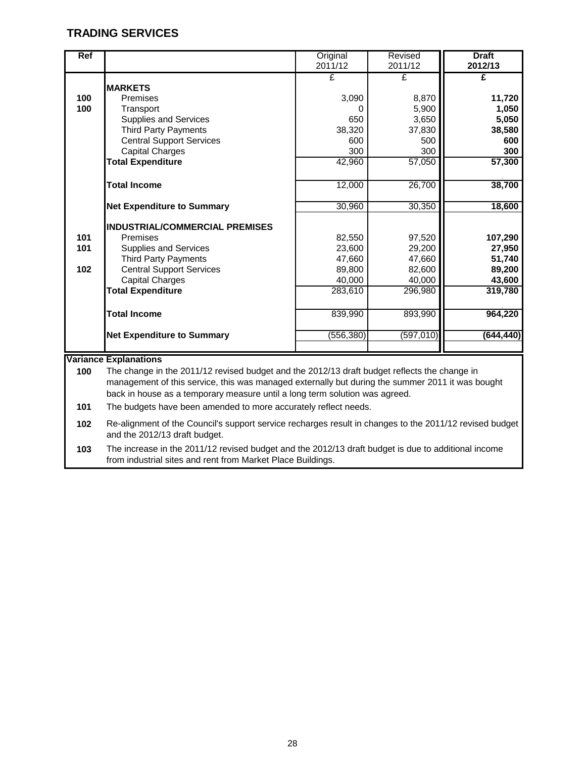## **TRADING SERVICES**

| <b>Ref</b> |                                       | Original<br>2011/12 | Revised<br>2011/12 | <b>Draft</b><br>2012/13 |
|------------|---------------------------------------|---------------------|--------------------|-------------------------|
|            | <b>MARKETS</b>                        | £                   | £                  | £                       |
| 100        | Premises                              | 3,090               | 8,870              | 11,720                  |
| 100        | Transport                             | Ω                   | 5,900              | 1,050                   |
|            | <b>Supplies and Services</b>          | 650                 | 3,650              | 5,050                   |
|            | <b>Third Party Payments</b>           | 38,320              | 37,830             | 38,580                  |
|            | <b>Central Support Services</b>       | 600                 | 500                | 600                     |
|            | <b>Capital Charges</b>                | 300                 | 300                | 300                     |
|            | <b>Total Expenditure</b>              | 42,960              | 57,050             | 57,300                  |
|            | <b>Total Income</b>                   | 12,000              | 26,700             | 38,700                  |
|            | <b>Net Expenditure to Summary</b>     | 30,960              | 30,350             | 18,600                  |
|            | <b>INDUSTRIAL/COMMERCIAL PREMISES</b> |                     |                    |                         |
| 101        | Premises                              | 82,550              | 97,520             | 107,290                 |
| 101        | <b>Supplies and Services</b>          | 23,600              | 29,200             | 27,950                  |
|            | <b>Third Party Payments</b>           | 47,660              | 47,660             | 51,740                  |
| 102        | <b>Central Support Services</b>       | 89,800              | 82,600             | 89,200                  |
|            | <b>Capital Charges</b>                | 40,000              | 40,000             | 43,600                  |
|            | <b>Total Expenditure</b>              | 283,610             | 296,980            | 319,780                 |
|            | <b>Total Income</b>                   | 839,990             | 893,990            | 964,220                 |
|            | <b>Net Expenditure to Summary</b>     | (556, 380)          | (597,010)          | (644, 440)              |
|            |                                       |                     |                    |                         |

#### **Variance Explanations**

**100** The change in the 2011/12 revised budget and the 2012/13 draft budget reflects the change in management of this service, this was managed externally but during the summer 2011 it was bought back in house as a temporary measure until a long term solution was agreed.

**101** The budgets have been amended to more accurately reflect needs.

**102** Re-alignment of the Council's support service recharges result in changes to the 2011/12 revised budget and the 2012/13 draft budget.

**103** The increase in the 2011/12 revised budget and the 2012/13 draft budget is due to additional income from industrial sites and rent from Market Place Buildings.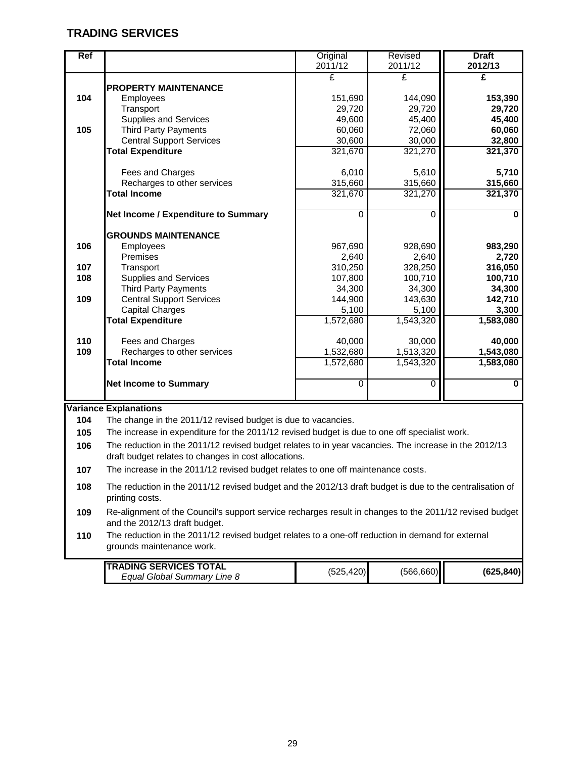## **TRADING SERVICES**

| Ref |                                     | Original  | Revised   | <b>Draft</b> |
|-----|-------------------------------------|-----------|-----------|--------------|
|     |                                     | 2011/12   | 2011/12   | 2012/13      |
|     |                                     | £         | £         | £            |
|     | <b>PROPERTY MAINTENANCE</b>         |           |           |              |
| 104 | Employees                           | 151,690   | 144,090   | 153,390      |
|     | Transport                           | 29,720    | 29,720    | 29,720       |
|     | <b>Supplies and Services</b>        | 49,600    | 45,400    | 45,400       |
| 105 | <b>Third Party Payments</b>         | 60,060    | 72,060    | 60,060       |
|     | <b>Central Support Services</b>     | 30,600    | 30,000    | 32,800       |
|     | <b>Total Expenditure</b>            | 321,670   | 321,270   | 321,370      |
|     |                                     |           |           |              |
|     | Fees and Charges                    | 6,010     | 5,610     | 5,710        |
|     | Recharges to other services         | 315,660   | 315,660   | 315,660      |
|     | <b>Total Income</b>                 | 321,670   | 321,270   | 321,370      |
|     |                                     |           |           |              |
|     | Net Income / Expenditure to Summary | 0         | 0         | 0            |
|     | <b>GROUNDS MAINTENANCE</b>          |           |           |              |
| 106 | Employees                           | 967,690   | 928,690   | 983,290      |
|     | Premises                            | 2,640     | 2,640     | 2,720        |
| 107 | Transport                           | 310,250   | 328,250   | 316,050      |
| 108 | <b>Supplies and Services</b>        | 107,800   | 100,710   | 100,710      |
|     | <b>Third Party Payments</b>         | 34,300    | 34,300    | 34,300       |
| 109 | <b>Central Support Services</b>     | 144,900   | 143,630   | 142,710      |
|     | <b>Capital Charges</b>              | 5,100     | 5,100     | 3,300        |
|     | <b>Total Expenditure</b>            | 1,572,680 | 1,543,320 | 1,583,080    |
|     |                                     |           |           |              |
| 110 | Fees and Charges                    | 40,000    | 30,000    | 40,000       |
| 109 | Recharges to other services         | 1,532,680 | 1,513,320 | 1,543,080    |
|     | <b>Total Income</b>                 | 1.572.680 | 1,543,320 | 1,583,080    |
|     |                                     |           |           |              |
|     | <b>Net Income to Summary</b>        | 0         | 0         | 0            |
|     |                                     |           |           |              |

#### **Variance Explanations**

**104** The change in the 2011/12 revised budget is due to vacancies.

**105** The increase in expenditure for the 2011/12 revised budget is due to one off specialist work.

**106** The reduction in the 2011/12 revised budget relates to in year vacancies. The increase in the 2012/13 draft budget relates to changes in cost allocations.

**107** The increase in the 2011/12 revised budget relates to one off maintenance costs.

**108** The reduction in the 2011/12 revised budget and the 2012/13 draft budget is due to the centralisation of printing costs.

**109** Re-alignment of the Council's support service recharges result in changes to the 2011/12 revised budget and the 2012/13 draft budget.

**110** The reduction in the 2011/12 revised budget relates to a one-off reduction in demand for external grounds maintenance work.

| <b>ITRADING SERVICES TOTAL</b> |            |            |            |
|--------------------------------|------------|------------|------------|
| Equal Global Summary Line 8    | (525, 420) | (566, 660) | (625, 840) |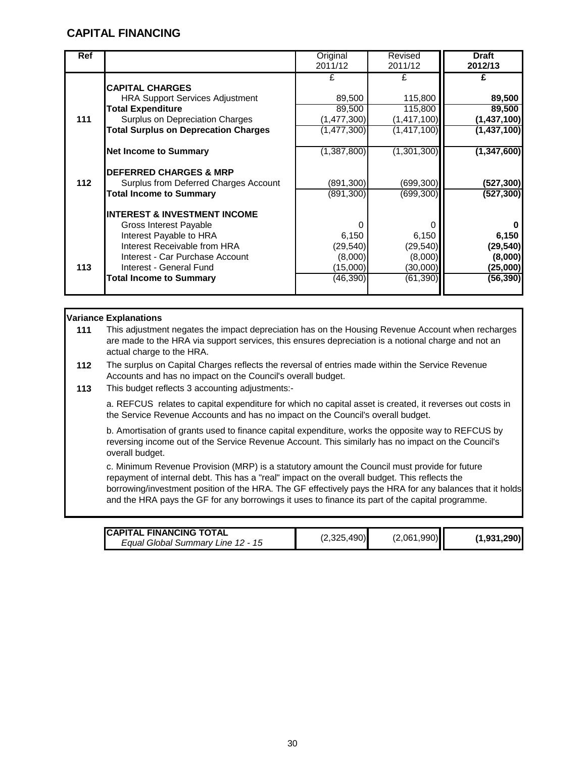## **CAPITAL FINANCING**

| <b>Ref</b> |                                             | Original      | Revised       | <b>Draft</b>  |
|------------|---------------------------------------------|---------------|---------------|---------------|
|            |                                             | 2011/12       | 2011/12       | 2012/13       |
|            |                                             | £             | £             |               |
|            | <b>CAPITAL CHARGES</b>                      |               |               |               |
|            | <b>HRA Support Services Adjustment</b>      | 89,500        | 115,800       | 89,500        |
|            | <b>Total Expenditure</b>                    | 89,500        | 115,800       | 89,500        |
| 111        | Surplus on Depreciation Charges             | (1,477,300)   | (1, 417, 100) | (1,437,100)   |
|            | <b>Total Surplus on Deprecation Charges</b> | (1, 477, 300) | (1, 417, 100) | (1,437,100)   |
|            |                                             |               |               |               |
|            | <b>Net Income to Summary</b>                | (1,387,800)   | (1,301,300)   | (1, 347, 600) |
|            |                                             |               |               |               |
|            | <b>DEFERRED CHARGES &amp; MRP</b>           |               |               |               |
| $112$      | Surplus from Deferred Charges Account       | (891, 300)    | (699, 300)    | (527, 300)    |
|            | <b>Total Income to Summary</b>              | (891, 300)    | (699, 300)    | (527, 300)    |
|            |                                             |               |               |               |
|            | <b>INTEREST &amp; INVESTMENT INCOME</b>     |               |               |               |
|            | Gross Interest Payable                      | O             |               |               |
|            | Interest Payable to HRA                     | 6,150         | 6,150         | 6,150         |
|            | Interest Receivable from HRA                | (29, 540)     | (29, 540)     | (29, 540)     |
|            | Interest - Car Purchase Account             | (8,000)       | (8,000)       | (8,000)       |
| 113        | Interest - General Fund                     | (15,000)      | (30,000)      | (25,000)      |
|            |                                             |               |               |               |
|            | <b>Total Income to Summary</b>              | (46, 390)     | (61, 390)     | (56, 390)     |
|            |                                             |               |               |               |

#### **Variance Explanations**

**111** This adjustment negates the impact depreciation has on the Housing Revenue Account when recharges are made to the HRA via support services, this ensures depreciation is a notional charge and not an actual charge to the HRA.

- **112** The surplus on Capital Charges reflects the reversal of entries made within the Service Revenue Accounts and has no impact on the Council's overall budget.
- **113** This budget reflects 3 accounting adjustments:-

a. REFCUS relates to capital expenditure for which no capital asset is created, it reverses out costs in the Service Revenue Accounts and has no impact on the Council's overall budget.

b. Amortisation of grants used to finance capital expenditure, works the opposite way to REFCUS by reversing income out of the Service Revenue Account. This similarly has no impact on the Council's overall budget.

c. Minimum Revenue Provision (MRP) is a statutory amount the Council must provide for future repayment of internal debt. This has a "real" impact on the overall budget. This reflects the borrowing/investment position of the HRA. The GF effectively pays the HRA for any balances that it holds and the HRA pays the GF for any borrowings it uses to finance its part of the capital programme.

| <b>ICAPITAL FINANCING TOTAL</b>   |             |             |             |
|-----------------------------------|-------------|-------------|-------------|
| Equal Global Summary Line 12 - 15 | (2,325,490) | (2,061,990) | (1,931,290) |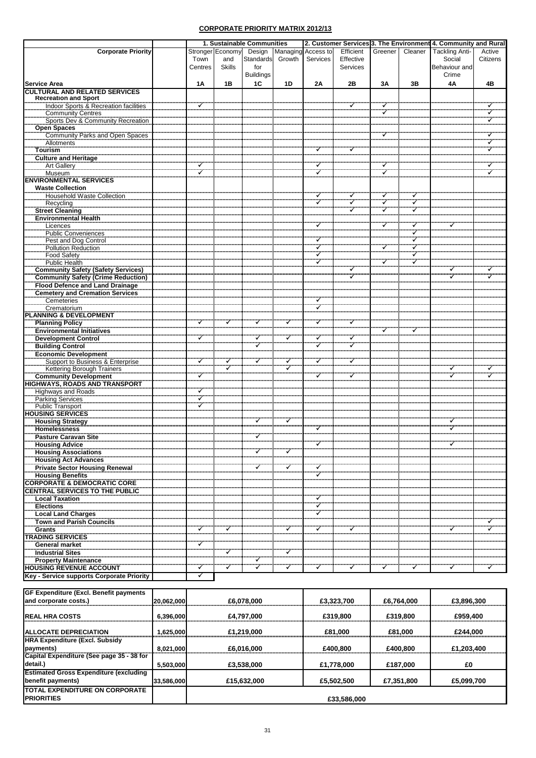|                                                                               |         |                  | 1. Sustainable Communities |        |                    |           |                   |              | 2. Customer Services 3. The Environment 4. Community and Rural |          |
|-------------------------------------------------------------------------------|---------|------------------|----------------------------|--------|--------------------|-----------|-------------------|--------------|----------------------------------------------------------------|----------|
| <b>Corporate Priority</b>                                                     |         | Stronger Economy | Design                     |        | Managing Access to | Efficient | Greener           | Cleaner      | <b>Tackling Anti-</b>                                          | Active   |
|                                                                               | Town    | and              | Standards                  | Growth | Services           | Effective |                   |              | Social                                                         | Citizens |
|                                                                               | Centres | <b>Skills</b>    | for                        |        |                    | Services  |                   |              | Behaviour and                                                  |          |
|                                                                               |         |                  | <b>Buildings</b>           |        |                    |           |                   |              | Crime                                                          |          |
| <b>Service Area</b>                                                           | 1A      | 1B               | 1C                         | 1D     | 2A                 | 2B        | 3A                | 3B           | 4A                                                             | 4B       |
| <b>CULTURAL AND RELATED SERVICES</b>                                          |         |                  |                            |        |                    |           |                   |              |                                                                |          |
| <b>Recreation and Sport</b>                                                   |         |                  |                            |        |                    |           |                   |              |                                                                |          |
| Indoor Sports & Recreation facilities                                         |         |                  |                            |        |                    |           |                   |              |                                                                |          |
| <b>Community Centres</b><br>Sports Dev & Community Recreation                 |         |                  |                            |        |                    |           |                   |              |                                                                |          |
| <b>Open Spaces</b>                                                            |         |                  |                            |        |                    |           |                   |              |                                                                |          |
| <b>Community Parks and Open Spaces</b>                                        |         |                  |                            |        |                    |           |                   |              |                                                                |          |
| Allotments                                                                    |         |                  |                            |        |                    |           |                   |              |                                                                |          |
| <b>Tourism</b>                                                                |         |                  |                            |        |                    |           |                   |              |                                                                |          |
| <b>Culture and Heritage</b>                                                   |         |                  |                            |        |                    |           |                   |              |                                                                |          |
| <b>Art Gallery</b>                                                            |         |                  |                            |        | ✓<br>$\checkmark$  |           | ✓<br>$\checkmark$ |              |                                                                |          |
| Museum<br><b>ENVIRONMENTAL SERVICES</b>                                       |         |                  |                            |        |                    |           |                   |              |                                                                |          |
| <b>Waste Collection</b>                                                       |         |                  |                            |        |                    |           |                   |              |                                                                |          |
| Household Waste Collection                                                    |         |                  |                            |        |                    | ✓         | ✓                 | $\checkmark$ |                                                                |          |
| Recycling                                                                     |         |                  |                            |        |                    |           | $\checkmark$      |              |                                                                |          |
| <b>Street Cleaning</b>                                                        |         |                  |                            |        |                    |           | ✓                 |              |                                                                |          |
| Environmental Health                                                          |         |                  |                            |        |                    |           |                   |              |                                                                |          |
| Licences                                                                      |         |                  |                            |        |                    |           |                   |              |                                                                |          |
| <b>Public Conveniences</b>                                                    |         |                  |                            |        |                    |           |                   |              |                                                                |          |
| Pest and Dog Control<br>Pollution Reduction                                   |         |                  |                            |        |                    |           |                   |              |                                                                |          |
| <b>Food Safety</b>                                                            |         |                  |                            |        |                    |           |                   |              |                                                                |          |
| <b>Public Health</b>                                                          |         |                  |                            |        |                    |           |                   |              |                                                                |          |
| <b>Community Safety (Safety Services)</b>                                     |         |                  |                            |        |                    |           |                   |              |                                                                |          |
| <b>Community Safety (Crime Reduction)</b>                                     |         |                  |                            |        |                    |           |                   |              |                                                                |          |
| <b>Flood Defence and Land Drainage</b>                                        |         |                  |                            |        |                    |           |                   |              |                                                                |          |
| <b>Cemetery and Cremation Services</b>                                        |         |                  |                            |        |                    |           |                   |              |                                                                |          |
| Cemeteries<br>Crematorium                                                     |         |                  |                            |        |                    |           |                   |              |                                                                |          |
| PLANNING & DEVELOPMENT                                                        |         |                  |                            |        |                    |           |                   |              |                                                                |          |
| <u>Planning Policy</u>                                                        |         |                  |                            |        |                    |           |                   |              |                                                                |          |
| <b>Environmental Initiatives</b>                                              |         |                  |                            |        |                    |           |                   |              |                                                                |          |
| Development Control                                                           |         |                  |                            |        |                    |           |                   |              |                                                                |          |
| <b>Building Control</b>                                                       |         |                  |                            |        |                    |           |                   |              |                                                                |          |
| <b>Economic Development</b>                                                   |         |                  |                            |        |                    |           |                   |              |                                                                |          |
| Support to Business & Enterprise                                              |         |                  |                            |        |                    |           |                   |              |                                                                |          |
| Kettering Borough Trainers<br><b>Community Development</b>                    |         |                  |                            |        |                    |           |                   |              |                                                                |          |
| <b>HIGHWAYS, ROADS AND TRANSPORT</b>                                          |         |                  |                            |        |                    |           |                   |              |                                                                |          |
| <b>Highways and Roads</b>                                                     |         |                  |                            |        |                    |           |                   |              |                                                                |          |
| <b>Parking Services</b>                                                       |         |                  |                            |        |                    |           |                   |              |                                                                |          |
| <b>Public Transport</b>                                                       |         |                  |                            |        |                    |           |                   |              |                                                                |          |
| <b>HOUSING SERVICES</b>                                                       |         |                  |                            |        |                    |           |                   |              |                                                                |          |
| <b>Housing Strategy</b>                                                       |         |                  |                            |        |                    |           |                   |              |                                                                |          |
| <b>Homelessness</b><br><b>Pasture Caravan Site</b>                            |         |                  |                            |        |                    |           |                   |              |                                                                |          |
| <b>Housing Advice</b>                                                         |         |                  |                            |        |                    |           |                   |              |                                                                |          |
| <b>Housing Associations</b>                                                   |         |                  |                            |        |                    |           |                   |              |                                                                |          |
|                                                                               |         |                  |                            |        |                    |           |                   |              |                                                                |          |
| <b>Housing Act Advances</b><br><b>Private Sector Housing Renewal</b>          |         |                  |                            |        |                    |           |                   |              |                                                                |          |
| <b>Example 18 Second Property Control CORE</b><br>CORPORATE & DEMOCRATIC CORE |         |                  |                            |        |                    |           |                   |              |                                                                |          |
|                                                                               |         |                  |                            |        |                    |           |                   |              |                                                                |          |
| <b>CENTRAL SERVICES TO THE PUBLIC</b>                                         |         |                  |                            |        |                    |           |                   |              |                                                                |          |
| <b>Local Taxation</b><br><b>Elections</b>                                     |         |                  |                            |        |                    |           |                   |              |                                                                |          |
| Local Land Charges                                                            |         |                  |                            |        |                    |           |                   |              |                                                                |          |
|                                                                               |         |                  |                            |        |                    |           |                   |              |                                                                |          |
| <b>Town and Parish Councils</b><br><b>Grants</b>                              |         |                  |                            |        |                    |           |                   |              |                                                                |          |
| <b>TRADING SERVICES</b>                                                       |         |                  |                            |        |                    |           |                   |              |                                                                |          |
| <b>General market</b>                                                         |         |                  |                            |        |                    |           |                   |              |                                                                |          |
| <b>Industrial Sites</b>                                                       |         |                  |                            |        |                    |           |                   |              |                                                                |          |
| <b>Property Maintenance</b>                                                   |         |                  |                            |        |                    |           |                   |              |                                                                |          |
| <b>HOUSING REVENUE ACCOUNT</b>                                                |         |                  |                            |        |                    |           |                   |              |                                                                |          |

## **Key - Service supports Corporate Priority**

| <b>GF Expenditure (Excl. Benefit payments</b><br>and corporate costs.) | 20,062,000 | £6,078,000  | £3,323,700  | £6,764,000 | £3,896,300 |
|------------------------------------------------------------------------|------------|-------------|-------------|------------|------------|
| <b>IREAL HRA COSTS</b>                                                 | 6,396,000  | £4,797,000  | £319,800    | £319,800   | £959,400   |
| <b>ALLOCATE DEPRECIATION</b>                                           |            |             |             |            | £244,000   |
| <b>HRA Expenditure (Excl. Subsidy</b>                                  | 1,625,000  | £1,219,000  | £81,000     | £81,000    |            |
| payments)<br>Capital Expenditure (See page 35 - 38 for                 | 8,021,000  | £6,016,000  | £400,800    | £400,800   | £1,203,400 |
| detail.)                                                               | 5,503,000  | £3,538,000  | £1,778,000  | £187,000   | £0         |
| <b>Estimated Gross Expenditure (excluding</b><br>benefit payments)     | 33,586,000 | £15,632,000 | £5,502,500  | £7,351,800 | £5,099,700 |
| <b>TOTAL EXPENDITURE ON CORPORATE</b><br><b>IPRIORITIES</b>            |            |             | £33,586,000 |            |            |

## **CORPORATE PRIORITY MATRIX 2012/13**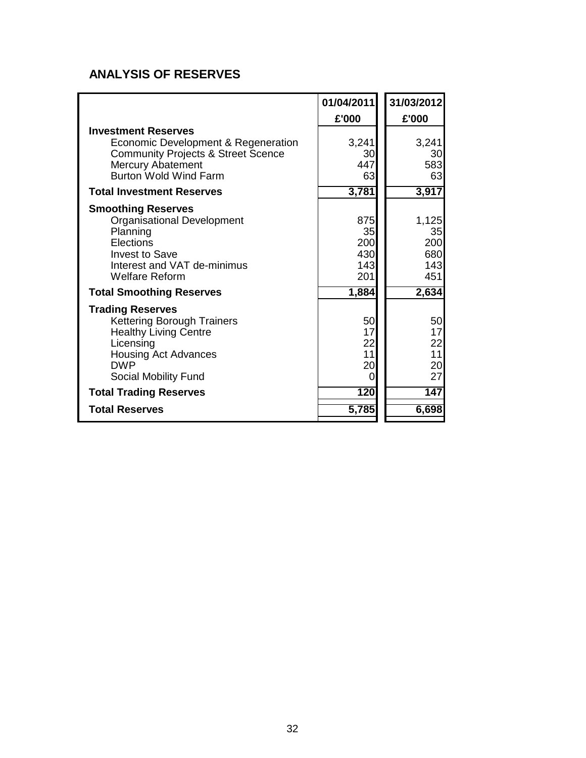## **ANALYSIS OF RESERVES**

|                                               | 01/04/2011 | 31/03/2012 |
|-----------------------------------------------|------------|------------|
|                                               | £'000      | £'000      |
| <b>Investment Reserves</b>                    |            |            |
| Economic Development & Regeneration           | 3,241      | 3,241      |
| <b>Community Projects &amp; Street Scence</b> | 30         | 30         |
| <b>Mercury Abatement</b>                      | 447        | 583        |
| <b>Burton Wold Wind Farm</b>                  | 63         | 63         |
| <b>Total Investment Reserves</b>              | 3,781      | 3,917      |
| <b>Smoothing Reserves</b>                     |            |            |
| <b>Organisational Development</b>             | 875        | 1,125      |
| Planning                                      | 35         | 35         |
| Elections                                     | 200        | 200        |
| <b>Invest to Save</b>                         | 430        | 680        |
| Interest and VAT de-minimus                   | 143        | 143        |
| Welfare Reform                                | 201        | 451        |
| <b>Total Smoothing Reserves</b>               | 1,884      | 2,634      |
| <b>Trading Reserves</b>                       |            |            |
| <b>Kettering Borough Trainers</b>             | 50         | 50         |
| <b>Healthy Living Centre</b>                  | 17         | 17         |
| Licensing                                     | 22         | 22         |
| <b>Housing Act Advances</b>                   | 11         | 11         |
| <b>DWP</b>                                    | 20         | 20         |
| Social Mobility Fund                          | 0          | 27         |
| <b>Total Trading Reserves</b>                 | 120        | 147        |
| <b>Total Reserves</b>                         | 5,785      | 6,698      |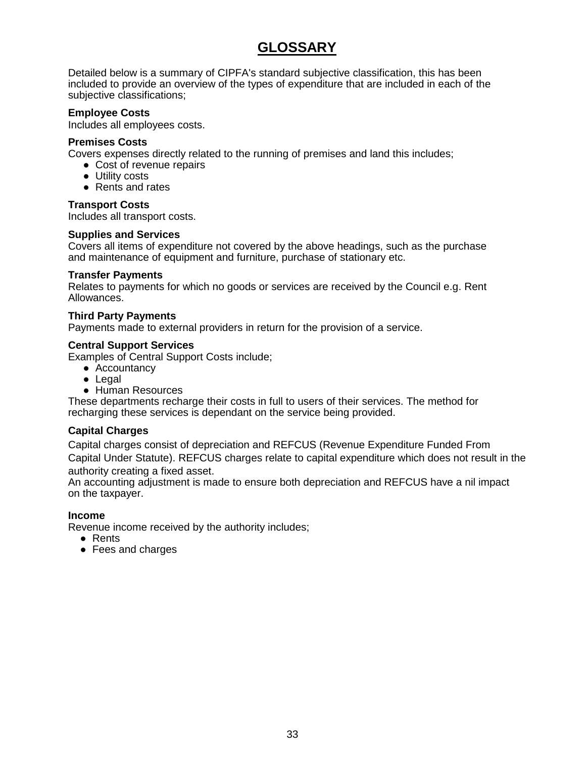## **GLOSSARY**

Detailed below is a summary of CIPFA's standard subjective classification, this has been included to provide an overview of the types of expenditure that are included in each of the subjective classifications;

#### **Employee Costs**

Includes all employees costs.

#### **Premises Costs**

Covers expenses directly related to the running of premises and land this includes;

- Cost of revenue repairs
- Utility costs
- Rents and rates

#### **Transport Costs**

Includes all transport costs.

#### **Supplies and Services**

Covers all items of expenditure not covered by the above headings, such as the purchase and maintenance of equipment and furniture, purchase of stationary etc.

#### **Transfer Payments**

Relates to payments for which no goods or services are received by the Council e.g. Rent Allowances.

#### **Third Party Payments**

Payments made to external providers in return for the provision of a service.

#### **Central Support Services**

Examples of Central Support Costs include;

- Accountancy
- Legal
- Human Resources

These departments recharge their costs in full to users of their services. The method for recharging these services is dependant on the service being provided.

#### **Capital Charges**

Capital charges consist of depreciation and REFCUS (Revenue Expenditure Funded From Capital Under Statute). REFCUS charges relate to capital expenditure which does not result in the authority creating a fixed asset.

An accounting adjustment is made to ensure both depreciation and REFCUS have a nil impact on the taxpayer.

#### **Income**

Revenue income received by the authority includes;

- Rents
- Fees and charges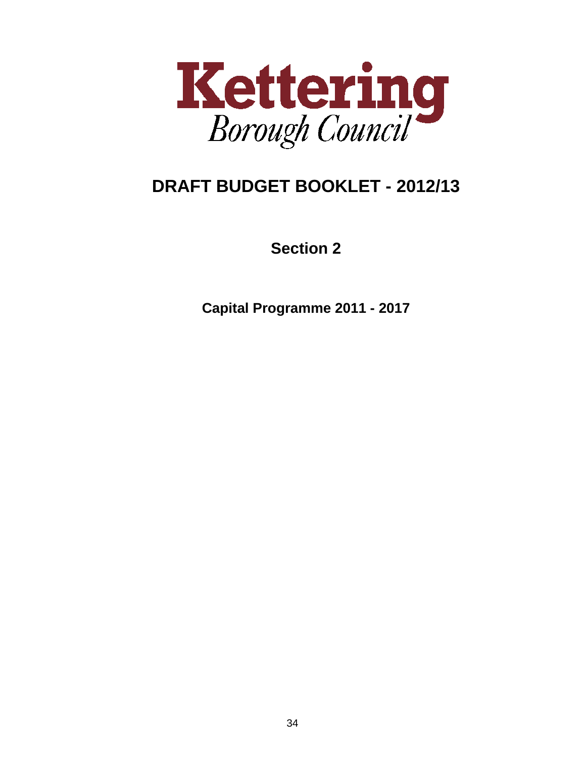

# **DRAFT BUDGET BOOKLET - 2012/13**

**Section 2**

**Capital Programme 2011 - 2017**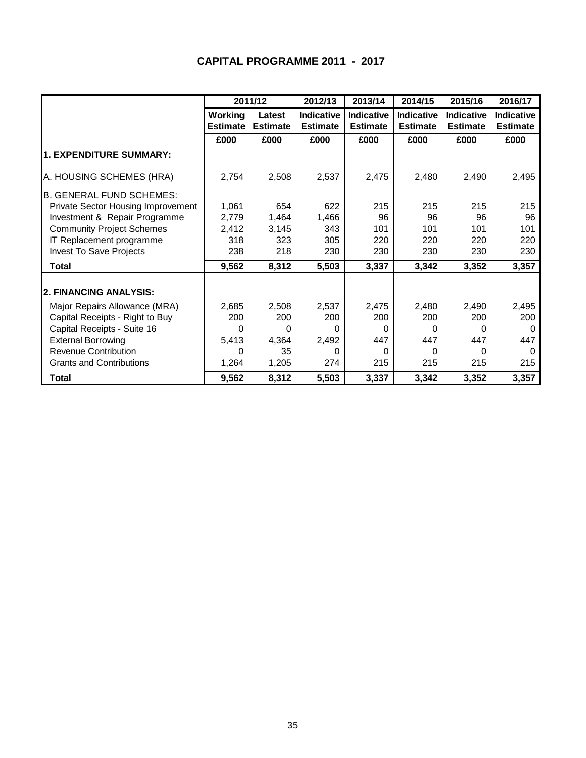## **CAPITAL PROGRAMME 2011 - 2017**

|                                    |                 | 2011/12         | 2012/13         | 2013/14         | 2014/15         | 2015/16         | 2016/17         |
|------------------------------------|-----------------|-----------------|-----------------|-----------------|-----------------|-----------------|-----------------|
|                                    | <b>Working</b>  | Latest          | Indicative      | Indicative      | Indicative      | Indicative      | Indicative      |
|                                    | <b>Estimate</b> | <b>Estimate</b> | <b>Estimate</b> | <b>Estimate</b> | <b>Estimate</b> | <b>Estimate</b> | <b>Estimate</b> |
|                                    | £000            | £000            | £000            | £000            | £000            | £000            | £000            |
| <b>1. EXPENDITURE SUMMARY:</b>     |                 |                 |                 |                 |                 |                 |                 |
| A. HOUSING SCHEMES (HRA)           | 2,754           | 2,508           | 2,537           | 2,475           | 2,480           | 2,490           | 2,495           |
| <b>B. GENERAL FUND SCHEMES:</b>    |                 |                 |                 |                 |                 |                 |                 |
| Private Sector Housing Improvement | 1,061           | 654             | 622             | 215             | 215             | 215             | 215             |
| Investment & Repair Programme      | 2,779           | 1,464           | 1,466           | 96              | 96              | 96              | 96              |
| <b>Community Project Schemes</b>   | 2,412           | 3,145           | 343             | 101             | 101             | 101             | 101             |
| IT Replacement programme           | 318             | 323             | 305             | 220             | 220             | 220             | 220             |
| <b>Invest To Save Projects</b>     | 238             | 218             | 230             | 230             | 230             | 230             | 230             |
| <b>Total</b>                       | 9,562           | 8,312           | 5,503           | 3,337           | 3,342           | 3,352           | 3,357           |
|                                    |                 |                 |                 |                 |                 |                 |                 |
| 2. FINANCING ANALYSIS:             |                 |                 |                 |                 |                 |                 |                 |
| Major Repairs Allowance (MRA)      | 2,685           | 2,508           | 2,537           | 2,475           | 2,480           | 2,490           | 2,495           |
| Capital Receipts - Right to Buy    | 200             | 200             | 200             | 200             | 200             | 200             | 200             |
| Capital Receipts - Suite 16        | 0               | 0               | 0               | 0               | 0               | 0               | $\Omega$        |
| <b>External Borrowing</b>          | 5,413           | 4,364           | 2,492           | 447             | 447             | 447             | 447             |
| <b>Revenue Contribution</b>        | 0               | 35              | 0               | 0               | 0               | 0               | 0               |
| <b>Grants and Contributions</b>    | 1,264           | 1,205           | 274             | 215             | 215             | 215             | 215             |
| Total                              | 9,562           | 8,312           | 5,503           | 3,337           | 3,342           | 3,352           | 3,357           |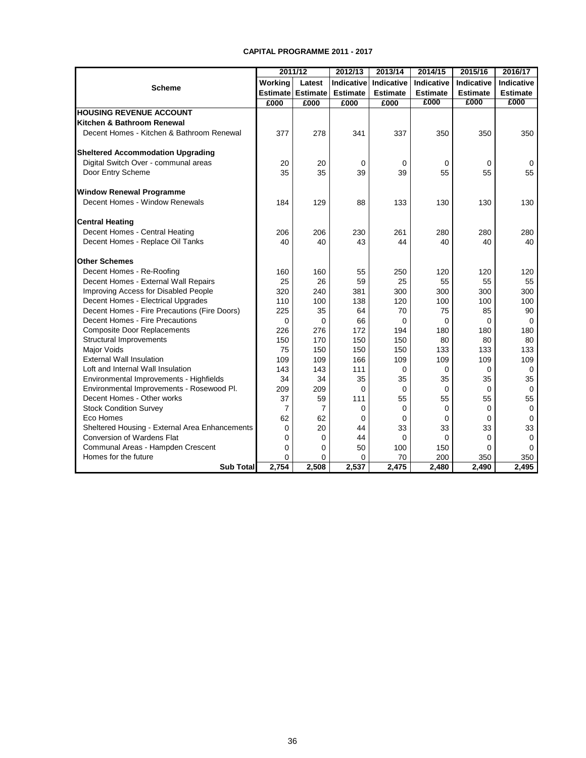#### **CAPITAL PROGRAMME 2011 - 2017**

|                                                |                | 2011/12                  | 2012/13         | 2013/14         | 2014/15           | 2015/16         | 2016/17           |
|------------------------------------------------|----------------|--------------------------|-----------------|-----------------|-------------------|-----------------|-------------------|
| <b>Scheme</b>                                  | Working        | Latest                   | Indicative      | Indicative      | <b>Indicative</b> | Indicative      | <b>Indicative</b> |
|                                                |                | <b>Estimate Estimate</b> | <b>Estimate</b> | <b>Estimate</b> | <b>Estimate</b>   | <b>Estimate</b> | <b>Estimate</b>   |
|                                                | £000           | £000                     | £000            | £000            | £000              | £000            | £000              |
| <b>HOUSING REVENUE ACCOUNT</b>                 |                |                          |                 |                 |                   |                 |                   |
| Kitchen & Bathroom Renewal                     |                |                          |                 |                 |                   |                 |                   |
| Decent Homes - Kitchen & Bathroom Renewal      | 377            | 278                      | 341             | 337             | 350               | 350             | 350               |
| <b>Sheltered Accommodation Upgrading</b>       |                |                          |                 |                 |                   |                 |                   |
| Digital Switch Over - communal areas           | 20             | 20                       | $\mathbf 0$     | 0               | $\mathbf 0$       | 0               | 0                 |
| Door Entry Scheme                              | 35             | 35                       | 39              | 39              | 55                | 55              | 55                |
| <b>Window Renewal Programme</b>                |                |                          |                 |                 |                   |                 |                   |
| Decent Homes - Window Renewals                 | 184            | 129                      | 88              | 133             | 130               | 130             | 130               |
| <b>Central Heating</b>                         |                |                          |                 |                 |                   |                 |                   |
| Decent Homes - Central Heating                 | 206            | 206                      | 230             | 261             | 280               | 280             | 280               |
| Decent Homes - Replace Oil Tanks               | 40             | 40                       | 43              | 44              | 40                | 40              | 40                |
| <b>Other Schemes</b>                           |                |                          |                 |                 |                   |                 |                   |
| Decent Homes - Re-Roofing                      | 160            | 160                      | 55              | 250             | 120               | 120             | 120               |
| Decent Homes - External Wall Repairs           | 25             | 26                       | 59              | 25              | 55                | 55              | 55                |
| Improving Access for Disabled People           | 320            | 240                      | 381             | 300             | 300               | 300             | 300               |
| Decent Homes - Electrical Upgrades             | 110            | 100                      | 138             | 120             | 100               | 100             | 100               |
| Decent Homes - Fire Precautions (Fire Doors)   | 225            | 35                       | 64              | 70              | 75                | 85              | 90                |
| Decent Homes - Fire Precautions                | $\Omega$       | 0                        | 66              | 0               | $\Omega$          | $\Omega$        | $\Omega$          |
| <b>Composite Door Replacements</b>             | 226            | 276                      | 172             | 194             | 180               | 180             | 180               |
| <b>Structural Improvements</b>                 | 150            | 170                      | 150             | 150             | 80                | 80              | 80                |
| Major Voids                                    | 75             | 150                      | 150             | 150             | 133               | 133             | 133               |
| <b>External Wall Insulation</b>                | 109            | 109                      | 166             | 109             | 109               | 109             | 109               |
| Loft and Internal Wall Insulation              | 143            | 143                      | 111             | 0               | $\mathbf 0$       | $\Omega$        | $\mathbf 0$       |
| Environmental Improvements - Highfields        | 34             | 34                       | 35              | 35              | 35                | 35              | 35                |
| Environmental Improvements - Rosewood Pl.      | 209            | 209                      | $\Omega$        | $\Omega$        | $\mathbf 0$       | $\Omega$        | $\mathbf 0$       |
| Decent Homes - Other works                     | 37             | 59                       | 111             | 55              | 55                | 55              | 55                |
| <b>Stock Condition Survey</b>                  | $\overline{7}$ | $\overline{7}$           | 0               | 0               | $\Omega$          | $\Omega$        | $\mathbf 0$       |
| Eco Homes                                      | 62             | 62                       | $\Omega$        | 0               | $\mathbf 0$       | $\Omega$        | $\mathbf 0$       |
| Sheltered Housing - External Area Enhancements | 0              | 20                       | 44              | 33              | 33                | 33              | 33                |
| Conversion of Wardens Flat                     | 0              | 0                        | 44              | 0               | 0                 | 0               | $\mathbf 0$       |
| Communal Areas - Hampden Crescent              | 0              | 0                        | 50              | 100             | 150               | $\Omega$        | 0                 |
| Homes for the future                           | 0              | 0                        | $\mathbf 0$     | 70              | 200               | 350             | 350               |
| <b>Sub Total</b>                               | 2,754          | 2,508                    | 2,537           | 2,475           | 2,480             | 2,490           | 2,495             |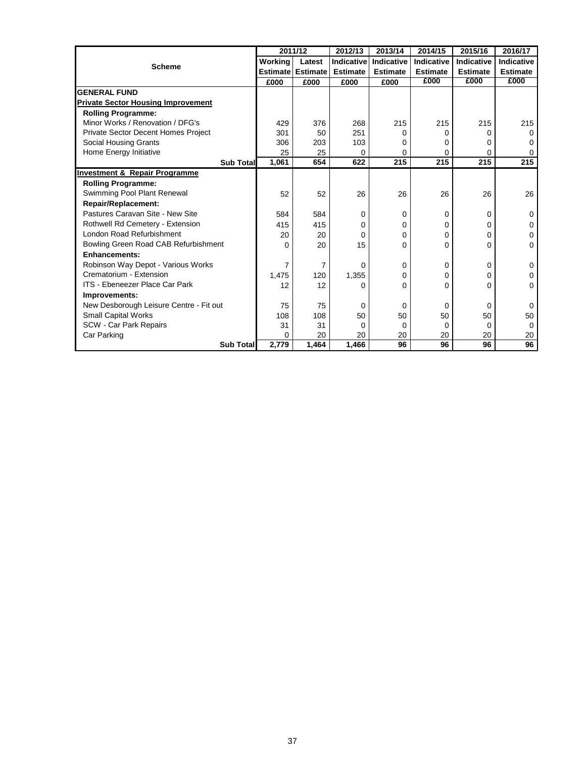|                                           |          | 2011/12                  | 2012/13         | 2013/14         | 2014/15         | 2015/16         | 2016/17         |
|-------------------------------------------|----------|--------------------------|-----------------|-----------------|-----------------|-----------------|-----------------|
|                                           | Working  | Latest                   | Indicative      | Indicative      | Indicative      | Indicative      | Indicative      |
| <b>Scheme</b>                             |          | <b>Estimate Estimate</b> | <b>Estimate</b> | <b>Estimate</b> | <b>Estimate</b> | <b>Estimate</b> | <b>Estimate</b> |
|                                           | £000     | £000                     | £000            | £000            | £000            | £000            | £000            |
| <b>GENERAL FUND</b>                       |          |                          |                 |                 |                 |                 |                 |
| <b>Private Sector Housing Improvement</b> |          |                          |                 |                 |                 |                 |                 |
| <b>Rolling Programme:</b>                 |          |                          |                 |                 |                 |                 |                 |
| Minor Works / Renovation / DFG's          | 429      | 376                      | 268             | 215             | 215             | 215             | 215             |
| Private Sector Decent Homes Project       | 301      | 50                       | 251             | $\Omega$        | 0               | 0               | 0               |
| Social Housing Grants                     | 306      | 203                      | 103             | $\Omega$        | 0               | 0               | 0               |
| Home Energy Initiative                    | 25       | 25                       | 0               | 0               | 0               | 0               | 0               |
| <b>Sub Total</b>                          | 1,061    | 654                      | 622             | 215             | 215             | 215             | 215             |
| <b>Investment &amp; Repair Programme</b>  |          |                          |                 |                 |                 |                 |                 |
| <b>Rolling Programme:</b>                 |          |                          |                 |                 |                 |                 |                 |
| Swimming Pool Plant Renewal               | 52       | 52                       | 26              | 26              | 26              | 26              | 26              |
| <b>Repair/Replacement:</b>                |          |                          |                 |                 |                 |                 |                 |
| Pastures Caravan Site - New Site          | 584      | 584                      | 0               | $\Omega$        | 0               | 0               | 0               |
| Rothwell Rd Cemetery - Extension          | 415      | 415                      | 0               | 0               | 0               | 0               | 0               |
| London Road Refurbishment                 | 20       | 20                       | 0               | $\Omega$        | 0               | 0               | 0               |
| Bowling Green Road CAB Refurbishment      | $\Omega$ | 20                       | 15              | $\Omega$        | 0               | 0               | $\Omega$        |
| <b>Enhancements:</b>                      |          |                          |                 |                 |                 |                 |                 |
| Robinson Way Depot - Various Works        | 7        | 7                        | 0               | $\Omega$        | 0               | 0               | 0               |
| Crematorium - Extension                   | 1,475    | 120                      | 1,355           | $\Omega$        | 0               | 0               | 0               |
| ITS - Ebeneezer Place Car Park            | 12       | 12                       | 0               | $\Omega$        | 0               | $\Omega$        | $\Omega$        |
| Improvements:                             |          |                          |                 |                 |                 |                 |                 |
| New Desborough Leisure Centre - Fit out   | 75       | 75                       | 0               | 0               | 0               | 0               | 0               |
| <b>Small Capital Works</b>                | 108      | 108                      | 50              | 50              | 50              | 50              | 50              |
| SCW - Car Park Repairs                    | 31       | 31                       | $\Omega$        | $\Omega$        | $\Omega$        | $\Omega$        | $\Omega$        |
| Car Parking                               | $\Omega$ | 20                       | 20              | 20              | 20              | 20              | 20              |
| <b>Sub Total</b>                          | 2,779    | 1,464                    | 1,466           | 96              | 96              | 96              | 96              |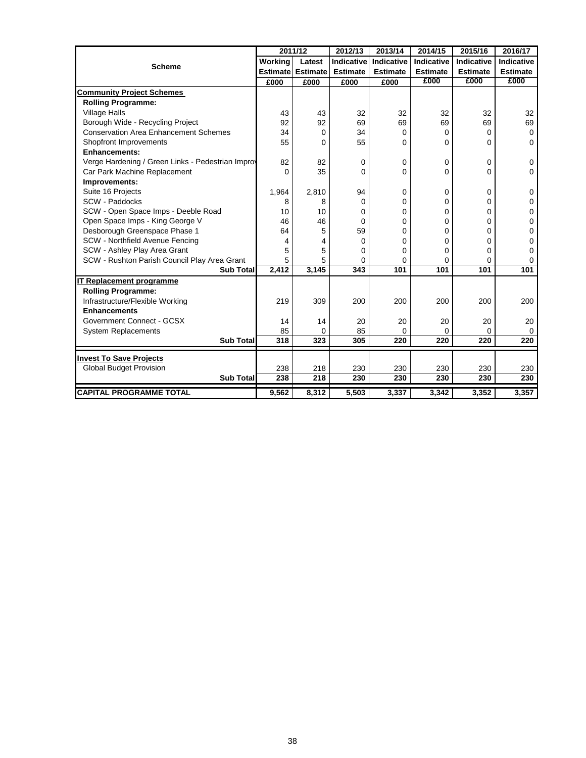|                                                   |         | 2011/12                  | 2012/13           | 2013/14         | 2014/15           | 2015/16         | 2016/17         |
|---------------------------------------------------|---------|--------------------------|-------------------|-----------------|-------------------|-----------------|-----------------|
|                                                   | Working | Latest                   | <b>Indicative</b> | Indicative      | <b>Indicative</b> | Indicative      | Indicative      |
| <b>Scheme</b>                                     |         | <b>Estimate Estimate</b> | <b>Estimate</b>   | <b>Estimate</b> | <b>Estimate</b>   | <b>Estimate</b> | <b>Estimate</b> |
|                                                   | £000    | £000                     | £000              | £000            | £000              | £000            | £000            |
| <b>Community Project Schemes</b>                  |         |                          |                   |                 |                   |                 |                 |
| <b>Rolling Programme:</b>                         |         |                          |                   |                 |                   |                 |                 |
| <b>Village Halls</b>                              | 43      | 43                       | 32                | 32              | 32                | 32              | 32              |
| Borough Wide - Recycling Project                  | 92      | 92                       | 69                | 69              | 69                | 69              | 69              |
| <b>Conservation Area Enhancement Schemes</b>      | 34      | 0                        | 34                | 0               | 0                 | 0               | 0               |
| Shopfront Improvements                            | 55      | 0                        | 55                | 0               | 0                 | 0               | 0               |
| <b>Enhancements:</b>                              |         |                          |                   |                 |                   |                 |                 |
| Verge Hardening / Green Links - Pedestrian Improv | 82      | 82                       | 0                 | 0               | 0                 | 0               | 0               |
| Car Park Machine Replacement                      | 0       | 35                       | 0                 | 0               | 0                 | 0               | $\mathbf 0$     |
| Improvements:                                     |         |                          |                   |                 |                   |                 |                 |
| Suite 16 Projects                                 | 1,964   | 2,810                    | 94                | 0               | 0                 | 0               | 0               |
| SCW - Paddocks                                    | 8       | 8                        | 0                 | 0               | $\Omega$          | 0               | 0               |
| SCW - Open Space Imps - Deeble Road               | 10      | 10                       | 0                 | 0               | $\Omega$          | 0               | 0               |
| Open Space Imps - King George V                   | 46      | 46                       | 0                 | 0               | $\Omega$          | 0               | 0               |
| Desborough Greenspace Phase 1                     | 64      | 5                        | 59                | 0               | 0                 | 0               | 0               |
| SCW - Northfield Avenue Fencing                   | 4       | 4                        | 0                 | 0               | 0                 | 0               | 0               |
| SCW - Ashley Play Area Grant                      | 5       | 5                        | 0                 | $\mathbf{0}$    | $\Omega$          | 0               | 0               |
| SCW - Rushton Parish Council Play Area Grant      | 5       | 5                        | 0                 | $\Omega$        | 0                 | 0               | 0               |
| <b>Sub Total</b>                                  | 2,412   | 3,145                    | 343               | 101             | 101               | 101             | 101             |
| IT Replacement programme                          |         |                          |                   |                 |                   |                 |                 |
| <b>Rolling Programme:</b>                         |         |                          |                   |                 |                   |                 |                 |
| Infrastructure/Flexible Working                   | 219     | 309                      | 200               | 200             | 200               | 200             | 200             |
| <b>Enhancements</b>                               |         |                          |                   |                 |                   |                 |                 |
| Government Connect - GCSX                         | 14      | 14                       | 20                | 20              | 20                | 20              | 20              |
| <b>System Replacements</b>                        | 85      | 0                        | 85                | $\mathbf{0}$    | $\Omega$          | 0               | $\Omega$        |
| <b>Sub Total</b>                                  | 318     | 323                      | 305               | 220             | 220               | 220             | 220             |
| <b>Invest To Save Projects</b>                    |         |                          |                   |                 |                   |                 |                 |
| <b>Global Budget Provision</b>                    | 238     | 218                      | 230               | 230             | 230               | 230             | 230             |
| <b>Sub Total</b>                                  | 238     | 218                      | 230               | 230             | 230               | 230             | 230             |
|                                                   |         |                          |                   |                 |                   |                 |                 |
| <b>CAPITAL PROGRAMME TOTAL</b>                    | 9,562   | 8,312                    | 5,503             | 3,337           | 3,342             | 3,352           | 3,357           |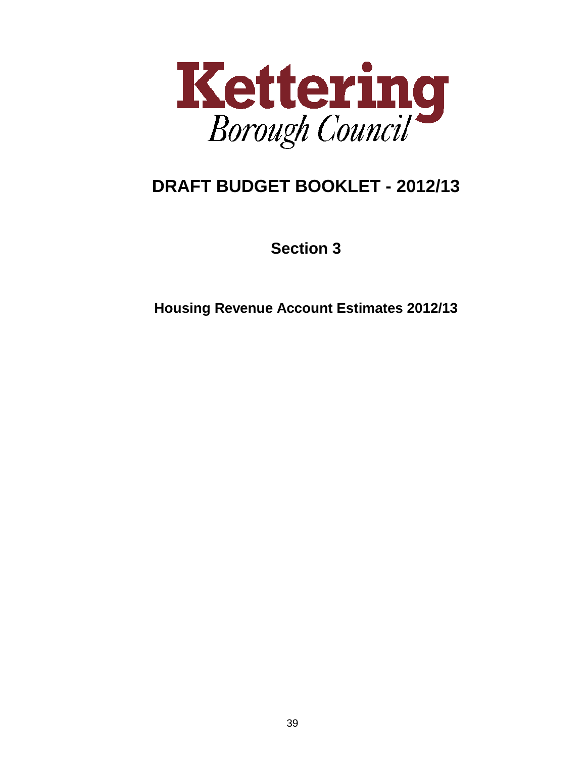

# **DRAFT BUDGET BOOKLET - 2012/13**

**Section 3**

**Housing Revenue Account Estimates 2012/13**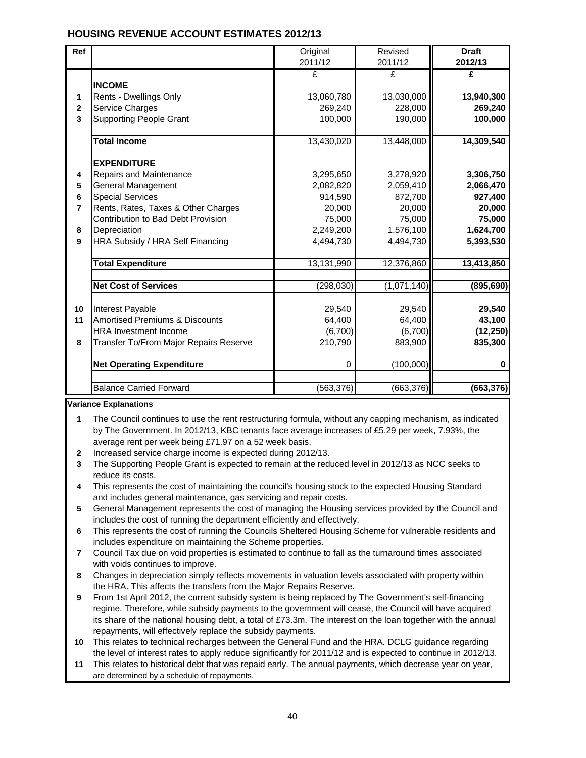### **HOUSING REVENUE ACCOUNT ESTIMATES 2012/13**

| <b>Ref</b>     |                                           | Original    | Revised     | <b>Draft</b> |  |
|----------------|-------------------------------------------|-------------|-------------|--------------|--|
|                |                                           | 2011/12     | 2011/12     | 2012/13      |  |
|                |                                           | £           | £           | £            |  |
|                | <b>INCOME</b>                             |             |             |              |  |
| 1              | Rents - Dwellings Only                    | 13,060,780  | 13,030,000  | 13,940,300   |  |
| $\mathbf{2}$   | Service Charges                           | 269,240     | 228,000     | 269,240      |  |
| 3              | <b>Supporting People Grant</b>            | 100,000     | 190,000     | 100,000      |  |
|                |                                           |             |             |              |  |
|                | <b>Total Income</b>                       | 13,430,020  | 13,448,000  | 14,309,540   |  |
|                |                                           |             |             |              |  |
|                | <b>EXPENDITURE</b>                        |             |             |              |  |
| 4              | Repairs and Maintenance                   | 3,295,650   | 3,278,920   | 3,306,750    |  |
| 5              | <b>General Management</b>                 | 2,082,820   | 2,059,410   | 2,066,470    |  |
| 6              | <b>Special Services</b>                   | 914,590     | 872,700     | 927,400      |  |
| $\overline{7}$ | Rents, Rates, Taxes & Other Charges       | 20,000      | 20,000      | 20,000       |  |
|                | Contribution to Bad Debt Provision        | 75,000      | 75,000      | 75,000       |  |
| 8              | Depreciation                              | 2,249,200   | 1,576,100   | 1,624,700    |  |
| 9              | HRA Subsidy / HRA Self Financing          | 4,494,730   | 4,494,730   | 5,393,530    |  |
|                | <b>Total Expenditure</b>                  | 13,131,990  | 12,376,860  | 13,413,850   |  |
|                |                                           |             |             |              |  |
|                | <b>Net Cost of Services</b>               | (298, 030)  | (1,071,140) | (895, 690)   |  |
|                |                                           |             |             |              |  |
| 10             | Interest Payable                          | 29,540      | 29,540      | 29,540       |  |
| 11             | <b>Amortised Premiums &amp; Discounts</b> | 64,400      | 64,400      | 43,100       |  |
|                | <b>HRA Investment Income</b>              | (6,700)     | (6,700)     | (12, 250)    |  |
| 8              | Transfer To/From Major Repairs Reserve    | 210,790     | 883,900     | 835,300      |  |
|                |                                           |             |             |              |  |
|                | <b>Net Operating Expenditure</b>          | $\mathbf 0$ | (100,000)   | 0            |  |
|                |                                           |             |             |              |  |
|                | <b>Balance Carried Forward</b>            | (563, 376)  | (663, 376)  | (663, 376)   |  |

#### **Variance Explanations**

- **1** The Council continues to use the rent restructuring formula, without any capping mechanism, as indicated by The Government. In 2012/13, KBC tenants face average increases of £5.29 per week, 7.93%, the average rent per week being £71.97 on a 52 week basis.
- **2** Increased service charge income is expected during 2012/13.
- **3** The Supporting People Grant is expected to remain at the reduced level in 2012/13 as NCC seeks to reduce its costs.
- **4** This represents the cost of maintaining the council's housing stock to the expected Housing Standard and includes general maintenance, gas servicing and repair costs.
- **5** General Management represents the cost of managing the Housing services provided by the Council and includes the cost of running the department efficiently and effectively.
- **6** This represents the cost of running the Councils Sheltered Housing Scheme for vulnerable residents and includes expenditure on maintaining the Scheme properties.
- **7** Council Tax due on void properties is estimated to continue to fall as the turnaround times associated with voids continues to improve.
- **8** Changes in depreciation simply reflects movements in valuation levels associated with property within the HRA. This affects the transfers from the Major Repairs Reserve.
- **9** From 1st April 2012, the current subsidy system is being replaced by The Government's self-financing regime. Therefore, while subsidy payments to the government will cease, the Council will have acquired its share of the national housing debt, a total of £73.3m. The interest on the loan together with the annual repayments, will effectively replace the subsidy payments.
- **10** This relates to technical recharges between the General Fund and the HRA. DCLG guidance regarding the level of interest rates to apply reduce significantly for 2011/12 and is expected to continue in 2012/13.
- **11** This relates to historical debt that was repaid early. The annual payments, which decrease year on year, are determined by a schedule of repayments.